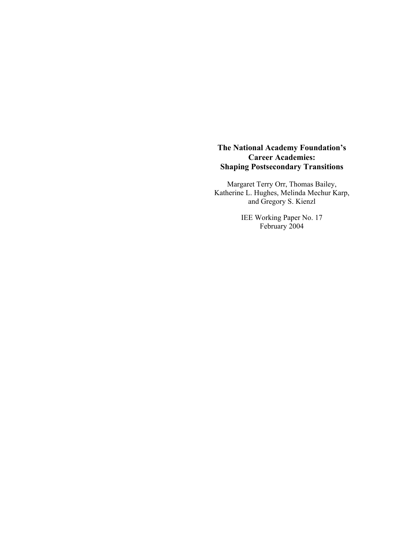# **The National Academy Foundation's Career Academies: Shaping Postsecondary Transitions**

Margaret Terry Orr, Thomas Bailey, Katherine L. Hughes, Melinda Mechur Karp, and Gregory S. Kienzl

> IEE Working Paper No. 17 February 2004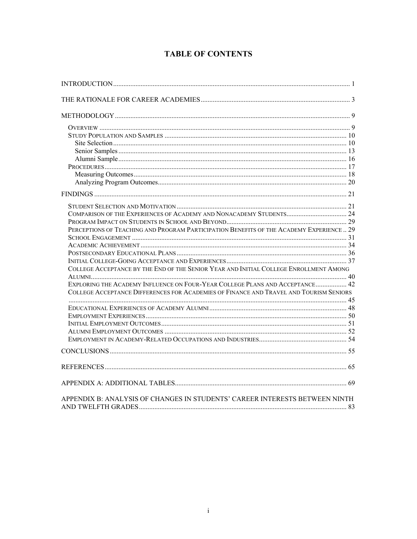| PERCEPTIONS OF TEACHING AND PROGRAM PARTICIPATION BENEFITS OF THE ACADEMY EXPERIENCE 29 |  |
|-----------------------------------------------------------------------------------------|--|
|                                                                                         |  |
|                                                                                         |  |
|                                                                                         |  |
|                                                                                         |  |
| COLLEGE ACCEPTANCE BY THE END OF THE SENIOR YEAR AND INITIAL COLLEGE ENROLLMENT AMONG   |  |
| EXPLORING THE ACADEMY INFLUENCE ON FOUR-YEAR COLLEGE PLANS AND ACCEPTANCE 42            |  |
| COLLEGE ACCEPTANCE DIFFERENCES FOR ACADEMIES OF FINANCE AND TRAVEL AND TOURISM SENIORS  |  |
|                                                                                         |  |
|                                                                                         |  |
|                                                                                         |  |
|                                                                                         |  |
|                                                                                         |  |
|                                                                                         |  |
|                                                                                         |  |
|                                                                                         |  |
|                                                                                         |  |
| APPENDIX B: ANALYSIS OF CHANGES IN STUDENTS' CAREER INTERESTS BETWEEN NINTH             |  |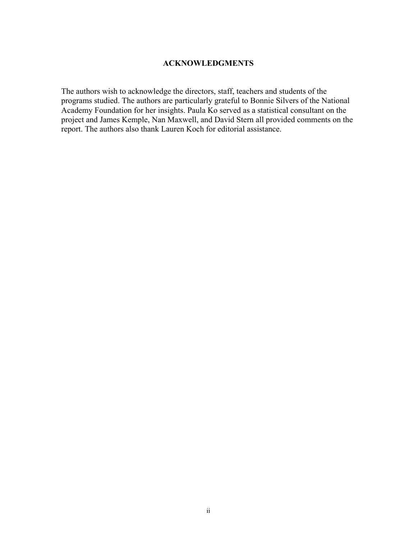## **ACKNOWLEDGMENTS**

The authors wish to acknowledge the directors, staff, teachers and students of the programs studied. The authors are particularly grateful to Bonnie Silvers of the National Academy Foundation for her insights. Paula Ko served as a statistical consultant on the project and James Kemple, Nan Maxwell, and David Stern all provided comments on the report. The authors also thank Lauren Koch for editorial assistance.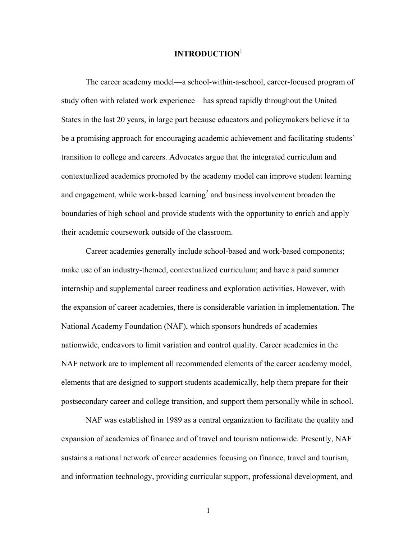# **INTRODUCTION**<sup>1</sup>

The career academy model—a school-within-a-school, career-focused program of study often with related work experience—has spread rapidly throughout the United States in the last 20 years, in large part because educators and policymakers believe it to be a promising approach for encouraging academic achievement and facilitating students' transition to college and careers. Advocates argue that the integrated curriculum and contextualized academics promoted by the academy model can improve student learning and engagement, while work-based learning<sup>2</sup> and business involvement broaden the boundaries of high school and provide students with the opportunity to enrich and apply their academic coursework outside of the classroom.

Career academies generally include school-based and work-based components; make use of an industry-themed, contextualized curriculum; and have a paid summer internship and supplemental career readiness and exploration activities. However, with the expansion of career academies, there is considerable variation in implementation. The National Academy Foundation (NAF), which sponsors hundreds of academies nationwide, endeavors to limit variation and control quality. Career academies in the NAF network are to implement all recommended elements of the career academy model, elements that are designed to support students academically, help them prepare for their postsecondary career and college transition, and support them personally while in school.

NAF was established in 1989 as a central organization to facilitate the quality and expansion of academies of finance and of travel and tourism nationwide. Presently, NAF sustains a national network of career academies focusing on finance, travel and tourism, and information technology, providing curricular support, professional development, and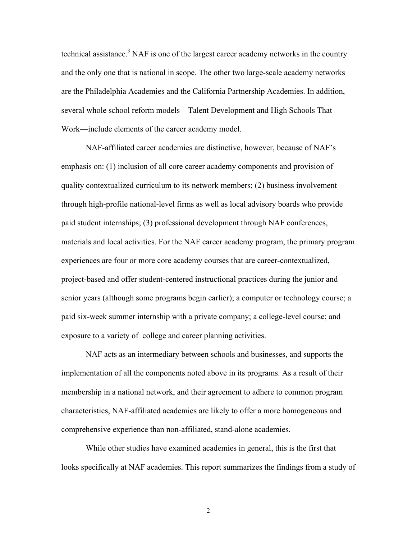technical assistance.<sup>3</sup> NAF is one of the largest career academy networks in the country and the only one that is national in scope. The other two large-scale academy networks are the Philadelphia Academies and the California Partnership Academies. In addition, several whole school reform models—Talent Development and High Schools That Work—include elements of the career academy model.

NAF-affiliated career academies are distinctive, however, because of NAF's emphasis on: (1) inclusion of all core career academy components and provision of quality contextualized curriculum to its network members; (2) business involvement through high-profile national-level firms as well as local advisory boards who provide paid student internships; (3) professional development through NAF conferences, materials and local activities. For the NAF career academy program, the primary program experiences are four or more core academy courses that are career-contextualized, project-based and offer student-centered instructional practices during the junior and senior years (although some programs begin earlier); a computer or technology course; a paid six-week summer internship with a private company; a college-level course; and exposure to a variety of college and career planning activities.

NAF acts as an intermediary between schools and businesses, and supports the implementation of all the components noted above in its programs. As a result of their membership in a national network, and their agreement to adhere to common program characteristics, NAF-affiliated academies are likely to offer a more homogeneous and comprehensive experience than non-affiliated, stand-alone academies.

While other studies have examined academies in general, this is the first that looks specifically at NAF academies. This report summarizes the findings from a study of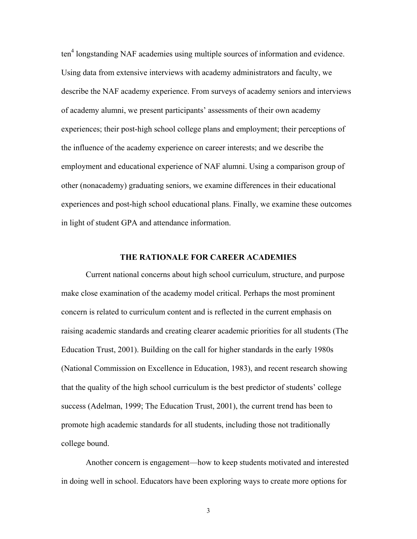ten<sup>4</sup> longstanding NAF academies using multiple sources of information and evidence. Using data from extensive interviews with academy administrators and faculty, we describe the NAF academy experience. From surveys of academy seniors and interviews of academy alumni, we present participants' assessments of their own academy experiences; their post-high school college plans and employment; their perceptions of the influence of the academy experience on career interests; and we describe the employment and educational experience of NAF alumni. Using a comparison group of other (nonacademy) graduating seniors, we examine differences in their educational experiences and post-high school educational plans. Finally, we examine these outcomes in light of student GPA and attendance information.

## **THE RATIONALE FOR CAREER ACADEMIES**

Current national concerns about high school curriculum, structure, and purpose make close examination of the academy model critical. Perhaps the most prominent concern is related to curriculum content and is reflected in the current emphasis on raising academic standards and creating clearer academic priorities for all students (The Education Trust, 2001). Building on the call for higher standards in the early 1980s (National Commission on Excellence in Education, 1983), and recent research showing that the quality of the high school curriculum is the best predictor of students' college success (Adelman, 1999; The Education Trust, 2001), the current trend has been to promote high academic standards for all students, including those not traditionally college bound.

Another concern is engagement—how to keep students motivated and interested in doing well in school. Educators have been exploring ways to create more options for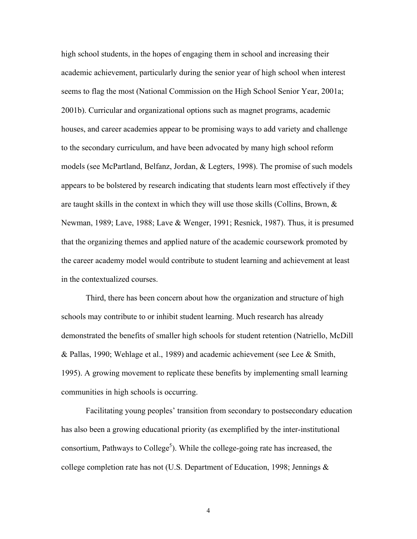high school students, in the hopes of engaging them in school and increasing their academic achievement, particularly during the senior year of high school when interest seems to flag the most (National Commission on the High School Senior Year, 2001a; 2001b). Curricular and organizational options such as magnet programs, academic houses, and career academies appear to be promising ways to add variety and challenge to the secondary curriculum, and have been advocated by many high school reform models (see McPartland, Belfanz, Jordan, & Legters, 1998). The promise of such models appears to be bolstered by research indicating that students learn most effectively if they are taught skills in the context in which they will use those skills (Collins, Brown,  $\&$ Newman, 1989; Lave, 1988; Lave & Wenger, 1991; Resnick, 1987). Thus, it is presumed that the organizing themes and applied nature of the academic coursework promoted by the career academy model would contribute to student learning and achievement at least in the contextualized courses.

Third, there has been concern about how the organization and structure of high schools may contribute to or inhibit student learning. Much research has already demonstrated the benefits of smaller high schools for student retention (Natriello, McDill & Pallas, 1990; Wehlage et al., 1989) and academic achievement (see Lee & Smith, 1995). A growing movement to replicate these benefits by implementing small learning communities in high schools is occurring.

Facilitating young peoples' transition from secondary to postsecondary education has also been a growing educational priority (as exemplified by the inter-institutional consortium, Pathways to College<sup>5</sup>). While the college-going rate has increased, the college completion rate has not (U.S. Department of Education, 1998; Jennings  $\&$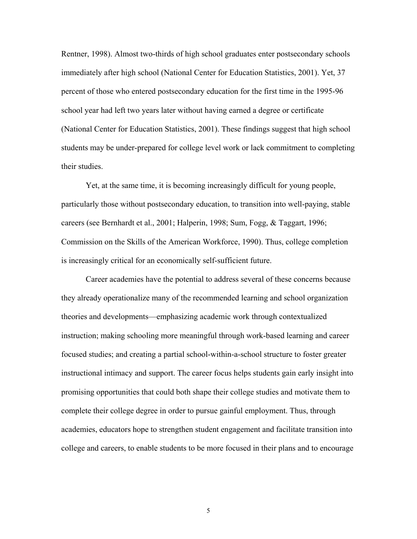Rentner, 1998). Almost two-thirds of high school graduates enter postsecondary schools immediately after high school (National Center for Education Statistics, 2001). Yet, 37 percent of those who entered postsecondary education for the first time in the 1995-96 school year had left two years later without having earned a degree or certificate (National Center for Education Statistics, 2001). These findings suggest that high school students may be under-prepared for college level work or lack commitment to completing their studies.

Yet, at the same time, it is becoming increasingly difficult for young people, particularly those without postsecondary education, to transition into well-paying, stable careers (see Bernhardt et al., 2001; Halperin, 1998; Sum, Fogg, & Taggart, 1996; Commission on the Skills of the American Workforce, 1990). Thus, college completion is increasingly critical for an economically self-sufficient future.

Career academies have the potential to address several of these concerns because they already operationalize many of the recommended learning and school organization theories and developments—emphasizing academic work through contextualized instruction; making schooling more meaningful through work-based learning and career focused studies; and creating a partial school-within-a-school structure to foster greater instructional intimacy and support. The career focus helps students gain early insight into promising opportunities that could both shape their college studies and motivate them to complete their college degree in order to pursue gainful employment. Thus, through academies, educators hope to strengthen student engagement and facilitate transition into college and careers, to enable students to be more focused in their plans and to encourage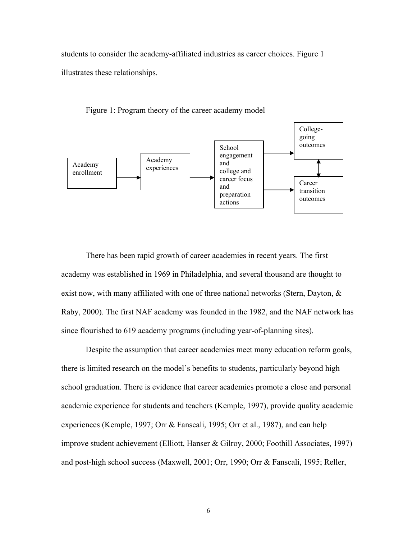students to consider the academy-affiliated industries as career choices. Figure 1 illustrates these relationships.



Figure 1: Program theory of the career academy model

There has been rapid growth of career academies in recent years. The first academy was established in 1969 in Philadelphia, and several thousand are thought to exist now, with many affiliated with one of three national networks (Stern, Dayton, & Raby, 2000). The first NAF academy was founded in the 1982, and the NAF network has since flourished to 619 academy programs (including year-of-planning sites).

Despite the assumption that career academies meet many education reform goals, there is limited research on the model's benefits to students, particularly beyond high school graduation. There is evidence that career academies promote a close and personal academic experience for students and teachers (Kemple, 1997), provide quality academic experiences (Kemple, 1997; Orr & Fanscali, 1995; Orr et al., 1987), and can help improve student achievement (Elliott, Hanser & Gilroy, 2000; Foothill Associates, 1997) and post-high school success (Maxwell, 2001; Orr, 1990; Orr & Fanscali, 1995; Reller,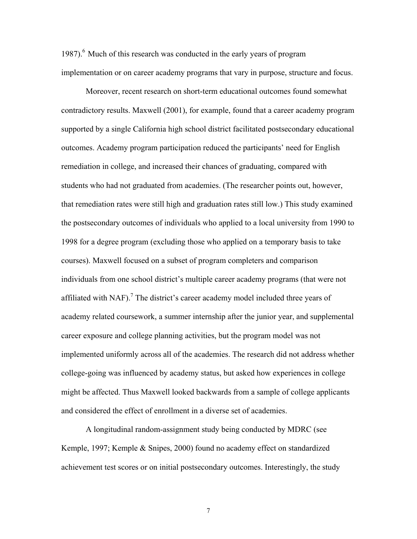1987). $<sup>6</sup>$  Much of this research was conducted in the early years of program</sup> implementation or on career academy programs that vary in purpose, structure and focus.

Moreover, recent research on short-term educational outcomes found somewhat contradictory results. Maxwell (2001), for example, found that a career academy program supported by a single California high school district facilitated postsecondary educational outcomes. Academy program participation reduced the participants' need for English remediation in college, and increased their chances of graduating, compared with students who had not graduated from academies. (The researcher points out, however, that remediation rates were still high and graduation rates still low.) This study examined the postsecondary outcomes of individuals who applied to a local university from 1990 to 1998 for a degree program (excluding those who applied on a temporary basis to take courses). Maxwell focused on a subset of program completers and comparison individuals from one school district's multiple career academy programs (that were not affiliated with NAF).<sup>7</sup> The district's career academy model included three years of academy related coursework, a summer internship after the junior year, and supplemental career exposure and college planning activities, but the program model was not implemented uniformly across all of the academies. The research did not address whether college-going was influenced by academy status, but asked how experiences in college might be affected. Thus Maxwell looked backwards from a sample of college applicants and considered the effect of enrollment in a diverse set of academies.

A longitudinal random-assignment study being conducted by MDRC (see Kemple, 1997; Kemple & Snipes, 2000) found no academy effect on standardized achievement test scores or on initial postsecondary outcomes. Interestingly, the study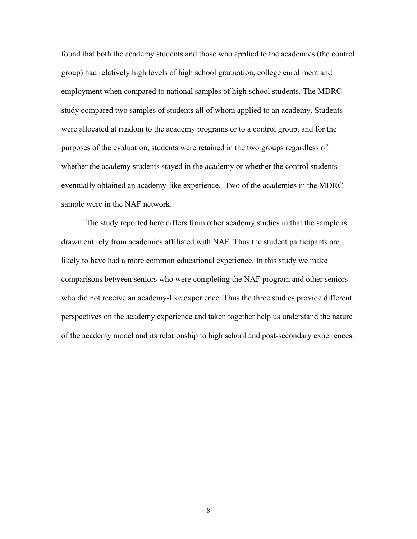found that both the academy students and those who applied to the academies (the control group) had relatively high levels of high school graduation, college enrollment and employment when compared to national samples of high school students. The MDRC study compared two samples of students all of whom applied to an academy. Students were allocated at random to the academy programs or to a control group, and for the purposes of the evaluation, students were retained in the two groups regardless of whether the academy students stayed in the academy or whether the control students eventually obtained an academy-like experience. Two of the academies in the MDRC sample were in the NAF network.

The study reported here differs from other academy studies in that the sample is drawn entirely from academies affiliated with NAF. Thus the student participants are likely to have had a more common educational experience. In this study we make comparisons between seniors who were completing the NAF program and other seniors who did not receive an academy-like experience. Thus the three studies provide different perspectives on the academy experience and taken together help us understand the nature of the academy model and its relationship to high school and post-secondary experiences.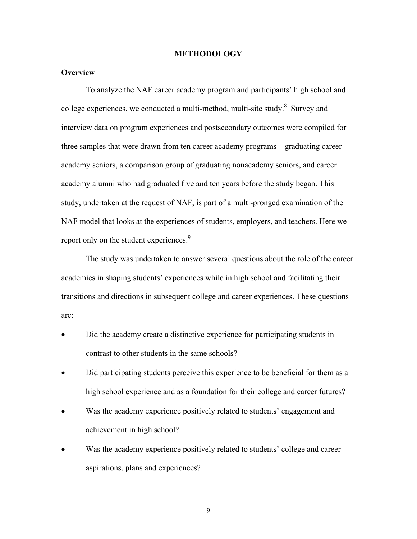#### **METHODOLOGY**

## **Overview**

To analyze the NAF career academy program and participants' high school and college experiences, we conducted a multi-method, multi-site study. $8$  Survey and interview data on program experiences and postsecondary outcomes were compiled for three samples that were drawn from ten career academy programs—graduating career academy seniors, a comparison group of graduating nonacademy seniors, and career academy alumni who had graduated five and ten years before the study began. This study, undertaken at the request of NAF, is part of a multi-pronged examination of the NAF model that looks at the experiences of students, employers, and teachers. Here we report only on the student experiences.<sup>9</sup>

The study was undertaken to answer several questions about the role of the career academies in shaping students' experiences while in high school and facilitating their transitions and directions in subsequent college and career experiences. These questions are:

- Did the academy create a distinctive experience for participating students in contrast to other students in the same schools?
- Did participating students perceive this experience to be beneficial for them as a high school experience and as a foundation for their college and career futures?
- Was the academy experience positively related to students' engagement and achievement in high school?
- Was the academy experience positively related to students' college and career aspirations, plans and experiences?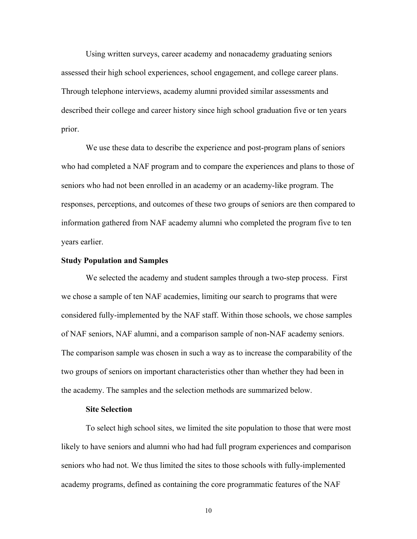Using written surveys, career academy and nonacademy graduating seniors assessed their high school experiences, school engagement, and college career plans. Through telephone interviews, academy alumni provided similar assessments and described their college and career history since high school graduation five or ten years prior.

We use these data to describe the experience and post-program plans of seniors who had completed a NAF program and to compare the experiences and plans to those of seniors who had not been enrolled in an academy or an academy-like program. The responses, perceptions, and outcomes of these two groups of seniors are then compared to information gathered from NAF academy alumni who completed the program five to ten years earlier.

## **Study Population and Samples**

We selected the academy and student samples through a two-step process. First we chose a sample of ten NAF academies, limiting our search to programs that were considered fully-implemented by the NAF staff. Within those schools, we chose samples of NAF seniors, NAF alumni, and a comparison sample of non-NAF academy seniors. The comparison sample was chosen in such a way as to increase the comparability of the two groups of seniors on important characteristics other than whether they had been in the academy. The samples and the selection methods are summarized below.

## **Site Selection**

To select high school sites, we limited the site population to those that were most likely to have seniors and alumni who had had full program experiences and comparison seniors who had not. We thus limited the sites to those schools with fully-implemented academy programs, defined as containing the core programmatic features of the NAF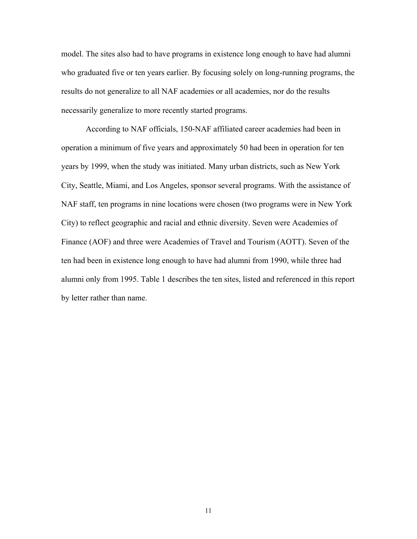model. The sites also had to have programs in existence long enough to have had alumni who graduated five or ten years earlier. By focusing solely on long-running programs, the results do not generalize to all NAF academies or all academies, nor do the results necessarily generalize to more recently started programs.

According to NAF officials, 150-NAF affiliated career academies had been in operation a minimum of five years and approximately 50 had been in operation for ten years by 1999, when the study was initiated. Many urban districts, such as New York City, Seattle, Miami, and Los Angeles, sponsor several programs. With the assistance of NAF staff, ten programs in nine locations were chosen (two programs were in New York City) to reflect geographic and racial and ethnic diversity. Seven were Academies of Finance (AOF) and three were Academies of Travel and Tourism (AOTT). Seven of the ten had been in existence long enough to have had alumni from 1990, while three had alumni only from 1995. Table 1 describes the ten sites, listed and referenced in this report by letter rather than name.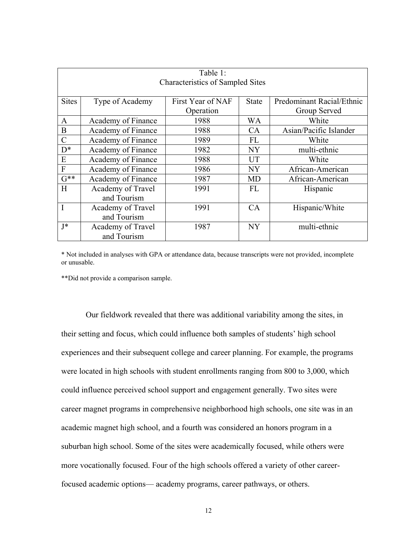| Table 1:                                |                    |                   |              |                           |  |
|-----------------------------------------|--------------------|-------------------|--------------|---------------------------|--|
| <b>Characteristics of Sampled Sites</b> |                    |                   |              |                           |  |
|                                         |                    |                   |              |                           |  |
| <b>Sites</b>                            | Type of Academy    | First Year of NAF | <b>State</b> | Predominant Racial/Ethnic |  |
|                                         |                    | Operation         |              | Group Served              |  |
| $\mathbf{A}$                            | Academy of Finance | 1988              | WA           | White                     |  |
| B                                       | Academy of Finance | 1988              | <b>CA</b>    | Asian/Pacific Islander    |  |
| $\mathcal{C}$                           | Academy of Finance | 1989              | FL           | White                     |  |
| $D^*$                                   | Academy of Finance | 1982              | <b>NY</b>    | multi-ethnic              |  |
| E                                       | Academy of Finance | 1988              | UT           | White                     |  |
| F                                       | Academy of Finance | 1986              | <b>NY</b>    | African-American          |  |
| $G^{**}$                                | Academy of Finance | 1987              | <b>MD</b>    | African-American          |  |
| H                                       | Academy of Travel  | 1991              | <b>FL</b>    | Hispanic                  |  |
|                                         | and Tourism        |                   |              |                           |  |
|                                         | Academy of Travel  | 1991              | CA           | Hispanic/White            |  |
|                                         | and Tourism        |                   |              |                           |  |
| J*                                      | Academy of Travel  | 1987              | <b>NY</b>    | multi-ethnic              |  |
|                                         | and Tourism        |                   |              |                           |  |

\* Not included in analyses with GPA or attendance data, because transcripts were not provided, incomplete or unusable.

\*\*Did not provide a comparison sample.

Our fieldwork revealed that there was additional variability among the sites, in their setting and focus, which could influence both samples of students' high school experiences and their subsequent college and career planning. For example, the programs were located in high schools with student enrollments ranging from 800 to 3,000, which could influence perceived school support and engagement generally. Two sites were career magnet programs in comprehensive neighborhood high schools, one site was in an academic magnet high school, and a fourth was considered an honors program in a suburban high school. Some of the sites were academically focused, while others were more vocationally focused. Four of the high schools offered a variety of other careerfocused academic options— academy programs, career pathways, or others.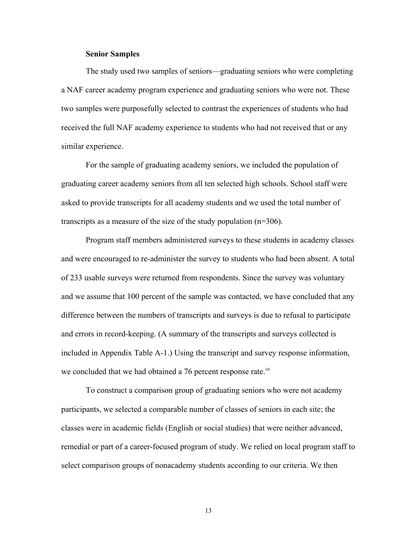### **Senior Samples**

The study used two samples of seniors—graduating seniors who were completing a NAF career academy program experience and graduating seniors who were not. These two samples were purposefully selected to contrast the experiences of students who had received the full NAF academy experience to students who had not received that or any similar experience.

For the sample of graduating academy seniors, we included the population of graduating career academy seniors from all ten selected high schools. School staff were asked to provide transcripts for all academy students and we used the total number of transcripts as a measure of the size of the study population (n=306).

Program staff members administered surveys to these students in academy classes and were encouraged to re-administer the survey to students who had been absent. A total of 233 usable surveys were returned from respondents. Since the survey was voluntary and we assume that 100 percent of the sample was contacted, we have concluded that any difference between the numbers of transcripts and surveys is due to refusal to participate and errors in record-keeping. (A summary of the transcripts and surveys collected is included in Appendix Table A-1.) Using the transcript and survey response information, we concluded that we had obtained a 76 percent response rate.<sup>10</sup>

To construct a comparison group of graduating seniors who were not academy participants, we selected a comparable number of classes of seniors in each site; the classes were in academic fields (English or social studies) that were neither advanced, remedial or part of a career-focused program of study. We relied on local program staff to select comparison groups of nonacademy students according to our criteria. We then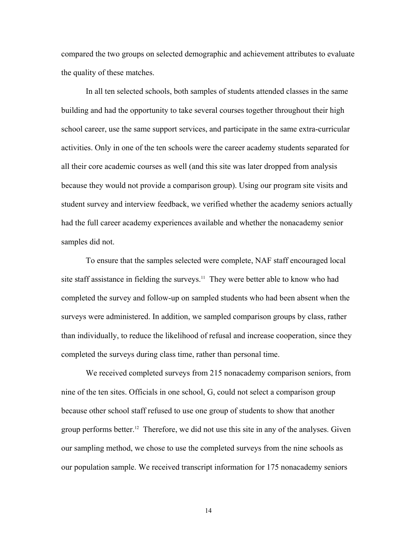compared the two groups on selected demographic and achievement attributes to evaluate the quality of these matches.

In all ten selected schools, both samples of students attended classes in the same building and had the opportunity to take several courses together throughout their high school career, use the same support services, and participate in the same extra-curricular activities. Only in one of the ten schools were the career academy students separated for all their core academic courses as well (and this site was later dropped from analysis because they would not provide a comparison group). Using our program site visits and student survey and interview feedback, we verified whether the academy seniors actually had the full career academy experiences available and whether the nonacademy senior samples did not.

To ensure that the samples selected were complete, NAF staff encouraged local site staff assistance in fielding the surveys.<sup>11</sup> They were better able to know who had completed the survey and follow-up on sampled students who had been absent when the surveys were administered. In addition, we sampled comparison groups by class, rather than individually, to reduce the likelihood of refusal and increase cooperation, since they completed the surveys during class time, rather than personal time.

We received completed surveys from 215 nonacademy comparison seniors, from nine of the ten sites. Officials in one school, G, could not select a comparison group because other school staff refused to use one group of students to show that another group performs better.<sup>12</sup> Therefore, we did not use this site in any of the analyses. Given our sampling method, we chose to use the completed surveys from the nine schools as our population sample. We received transcript information for 175 nonacademy seniors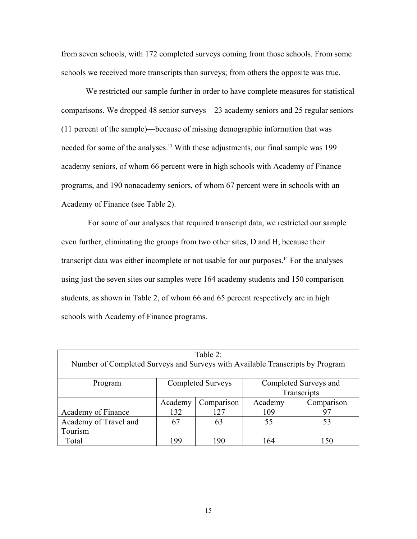from seven schools, with 172 completed surveys coming from those schools. From some schools we received more transcripts than surveys; from others the opposite was true.

We restricted our sample further in order to have complete measures for statistical comparisons. We dropped 48 senior surveys—23 academy seniors and 25 regular seniors (11 percent of the sample)—because of missing demographic information that was needed for some of the analyses.<sup>13</sup> With these adjustments, our final sample was 199 academy seniors, of whom 66 percent were in high schools with Academy of Finance programs, and 190 nonacademy seniors, of whom 67 percent were in schools with an Academy of Finance (see Table 2).

 For some of our analyses that required transcript data, we restricted our sample even further, eliminating the groups from two other sites, D and H, because their transcript data was either incomplete or not usable for our purposes.<sup>14</sup> For the analyses using just the seven sites our samples were 164 academy students and 150 comparison students, as shown in Table 2, of whom 66 and 65 percent respectively are in high schools with Academy of Finance programs.

| Table 2:                                                                      |                          |            |                       |            |
|-------------------------------------------------------------------------------|--------------------------|------------|-----------------------|------------|
| Number of Completed Surveys and Surveys with Available Transcripts by Program |                          |            |                       |            |
|                                                                               |                          |            |                       |            |
| Program                                                                       | <b>Completed Surveys</b> |            | Completed Surveys and |            |
|                                                                               |                          |            | Transcripts           |            |
|                                                                               | Academy                  | Comparison | Academy               | Comparison |
| Academy of Finance                                                            | 132                      | 127        | 109                   | 97         |
| Academy of Travel and                                                         | 67                       | 63         | 55                    | 53         |
| Tourism                                                                       |                          |            |                       |            |
| Total                                                                         | 199                      | 190        | 164                   |            |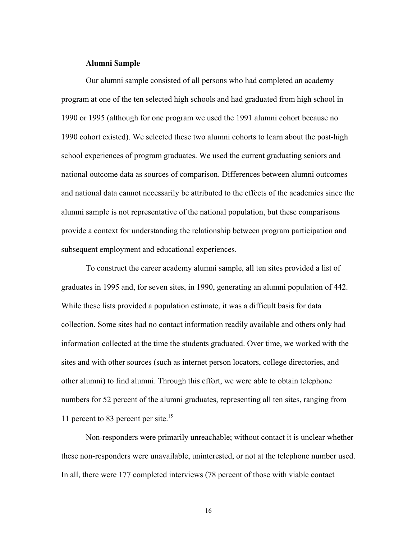## **Alumni Sample**

Our alumni sample consisted of all persons who had completed an academy program at one of the ten selected high schools and had graduated from high school in 1990 or 1995 (although for one program we used the 1991 alumni cohort because no 1990 cohort existed). We selected these two alumni cohorts to learn about the post-high school experiences of program graduates. We used the current graduating seniors and national outcome data as sources of comparison. Differences between alumni outcomes and national data cannot necessarily be attributed to the effects of the academies since the alumni sample is not representative of the national population, but these comparisons provide a context for understanding the relationship between program participation and subsequent employment and educational experiences.

To construct the career academy alumni sample, all ten sites provided a list of graduates in 1995 and, for seven sites, in 1990, generating an alumni population of 442. While these lists provided a population estimate, it was a difficult basis for data collection. Some sites had no contact information readily available and others only had information collected at the time the students graduated. Over time, we worked with the sites and with other sources (such as internet person locators, college directories, and other alumni) to find alumni. Through this effort, we were able to obtain telephone numbers for 52 percent of the alumni graduates, representing all ten sites, ranging from 11 percent to 83 percent per site.<sup>15</sup>

Non-responders were primarily unreachable; without contact it is unclear whether these non-responders were unavailable, uninterested, or not at the telephone number used. In all, there were 177 completed interviews (78 percent of those with viable contact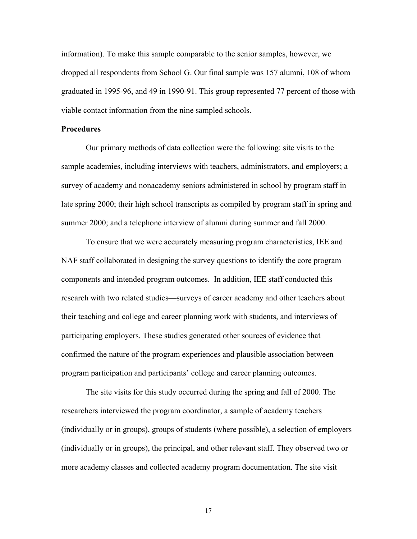information). To make this sample comparable to the senior samples, however, we dropped all respondents from School G. Our final sample was 157 alumni, 108 of whom graduated in 1995-96, and 49 in 1990-91. This group represented 77 percent of those with viable contact information from the nine sampled schools.

## **Procedures**

Our primary methods of data collection were the following: site visits to the sample academies, including interviews with teachers, administrators, and employers; a survey of academy and nonacademy seniors administered in school by program staff in late spring 2000; their high school transcripts as compiled by program staff in spring and summer 2000; and a telephone interview of alumni during summer and fall 2000.

To ensure that we were accurately measuring program characteristics, IEE and NAF staff collaborated in designing the survey questions to identify the core program components and intended program outcomes. In addition, IEE staff conducted this research with two related studies—surveys of career academy and other teachers about their teaching and college and career planning work with students, and interviews of participating employers. These studies generated other sources of evidence that confirmed the nature of the program experiences and plausible association between program participation and participants' college and career planning outcomes.

The site visits for this study occurred during the spring and fall of 2000. The researchers interviewed the program coordinator, a sample of academy teachers (individually or in groups), groups of students (where possible), a selection of employers (individually or in groups), the principal, and other relevant staff. They observed two or more academy classes and collected academy program documentation. The site visit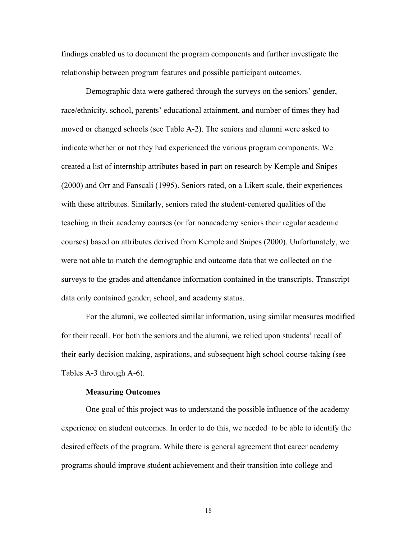findings enabled us to document the program components and further investigate the relationship between program features and possible participant outcomes.

Demographic data were gathered through the surveys on the seniors' gender, race/ethnicity, school, parents' educational attainment, and number of times they had moved or changed schools (see Table A-2). The seniors and alumni were asked to indicate whether or not they had experienced the various program components. We created a list of internship attributes based in part on research by Kemple and Snipes (2000) and Orr and Fanscali (1995). Seniors rated, on a Likert scale, their experiences with these attributes. Similarly, seniors rated the student-centered qualities of the teaching in their academy courses (or for nonacademy seniors their regular academic courses) based on attributes derived from Kemple and Snipes (2000). Unfortunately, we were not able to match the demographic and outcome data that we collected on the surveys to the grades and attendance information contained in the transcripts. Transcript data only contained gender, school, and academy status.

For the alumni, we collected similar information, using similar measures modified for their recall. For both the seniors and the alumni, we relied upon students' recall of their early decision making, aspirations, and subsequent high school course-taking (see Tables A-3 through A-6).

### **Measuring Outcomes**

 One goal of this project was to understand the possible influence of the academy experience on student outcomes. In order to do this, we needed to be able to identify the desired effects of the program. While there is general agreement that career academy programs should improve student achievement and their transition into college and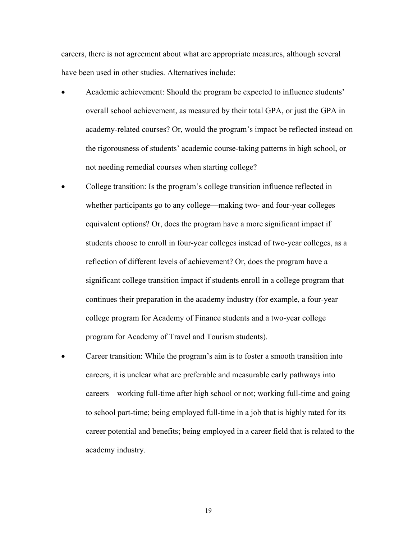careers, there is not agreement about what are appropriate measures, although several have been used in other studies. Alternatives include:

- Academic achievement: Should the program be expected to influence students' overall school achievement, as measured by their total GPA, or just the GPA in academy-related courses? Or, would the program's impact be reflected instead on the rigorousness of students' academic course-taking patterns in high school, or not needing remedial courses when starting college?
- College transition: Is the program's college transition influence reflected in whether participants go to any college—making two- and four-year colleges equivalent options? Or, does the program have a more significant impact if students choose to enroll in four-year colleges instead of two-year colleges, as a reflection of different levels of achievement? Or, does the program have a significant college transition impact if students enroll in a college program that continues their preparation in the academy industry (for example, a four-year college program for Academy of Finance students and a two-year college program for Academy of Travel and Tourism students).
- Career transition: While the program's aim is to foster a smooth transition into careers, it is unclear what are preferable and measurable early pathways into careers—working full-time after high school or not; working full-time and going to school part-time; being employed full-time in a job that is highly rated for its career potential and benefits; being employed in a career field that is related to the academy industry.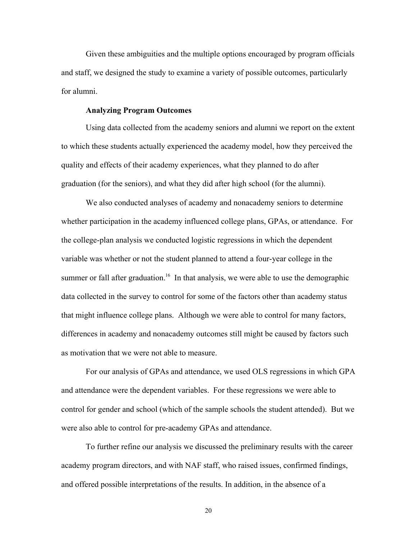Given these ambiguities and the multiple options encouraged by program officials and staff, we designed the study to examine a variety of possible outcomes, particularly for alumni.

## **Analyzing Program Outcomes**

Using data collected from the academy seniors and alumni we report on the extent to which these students actually experienced the academy model, how they perceived the quality and effects of their academy experiences, what they planned to do after graduation (for the seniors), and what they did after high school (for the alumni).

We also conducted analyses of academy and nonacademy seniors to determine whether participation in the academy influenced college plans, GPAs, or attendance. For the college-plan analysis we conducted logistic regressions in which the dependent variable was whether or not the student planned to attend a four-year college in the summer or fall after graduation.<sup>16</sup> In that analysis, we were able to use the demographic data collected in the survey to control for some of the factors other than academy status that might influence college plans. Although we were able to control for many factors, differences in academy and nonacademy outcomes still might be caused by factors such as motivation that we were not able to measure.

For our analysis of GPAs and attendance, we used OLS regressions in which GPA and attendance were the dependent variables. For these regressions we were able to control for gender and school (which of the sample schools the student attended). But we were also able to control for pre-academy GPAs and attendance.

To further refine our analysis we discussed the preliminary results with the career academy program directors, and with NAF staff, who raised issues, confirmed findings, and offered possible interpretations of the results. In addition, in the absence of a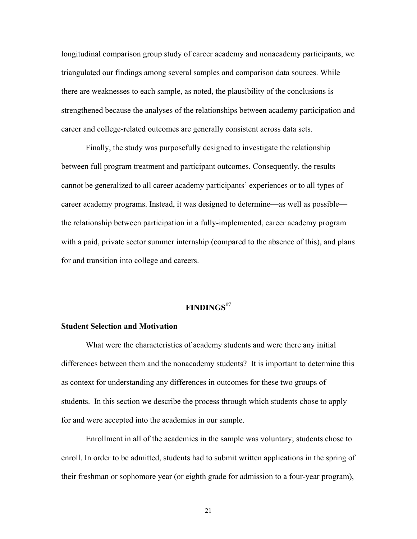longitudinal comparison group study of career academy and nonacademy participants, we triangulated our findings among several samples and comparison data sources. While there are weaknesses to each sample, as noted, the plausibility of the conclusions is strengthened because the analyses of the relationships between academy participation and career and college-related outcomes are generally consistent across data sets.

Finally, the study was purposefully designed to investigate the relationship between full program treatment and participant outcomes. Consequently, the results cannot be generalized to all career academy participants' experiences or to all types of career academy programs. Instead, it was designed to determine—as well as possible the relationship between participation in a fully-implemented, career academy program with a paid, private sector summer internship (compared to the absence of this), and plans for and transition into college and careers.

# **FINDINGS<sup>17</sup>**

### **Student Selection and Motivation**

What were the characteristics of academy students and were there any initial differences between them and the nonacademy students? It is important to determine this as context for understanding any differences in outcomes for these two groups of students. In this section we describe the process through which students chose to apply for and were accepted into the academies in our sample.

Enrollment in all of the academies in the sample was voluntary; students chose to enroll. In order to be admitted, students had to submit written applications in the spring of their freshman or sophomore year (or eighth grade for admission to a four-year program),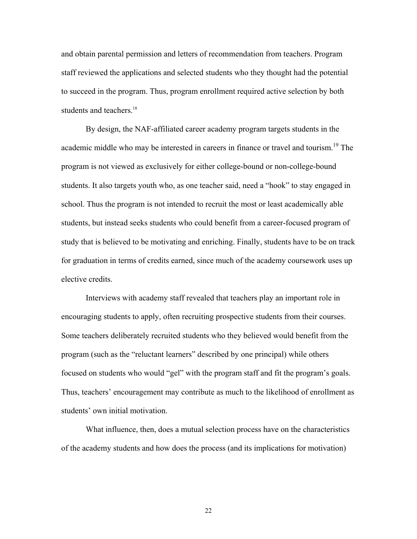and obtain parental permission and letters of recommendation from teachers. Program staff reviewed the applications and selected students who they thought had the potential to succeed in the program. Thus, program enrollment required active selection by both students and teachers.<sup>18</sup>

By design, the NAF-affiliated career academy program targets students in the academic middle who may be interested in careers in finance or travel and tourism.<sup>19</sup> The program is not viewed as exclusively for either college-bound or non-college-bound students. It also targets youth who, as one teacher said, need a "hook" to stay engaged in school. Thus the program is not intended to recruit the most or least academically able students, but instead seeks students who could benefit from a career-focused program of study that is believed to be motivating and enriching. Finally, students have to be on track for graduation in terms of credits earned, since much of the academy coursework uses up elective credits.

Interviews with academy staff revealed that teachers play an important role in encouraging students to apply, often recruiting prospective students from their courses. Some teachers deliberately recruited students who they believed would benefit from the program (such as the "reluctant learners" described by one principal) while others focused on students who would "gel" with the program staff and fit the program's goals. Thus, teachers' encouragement may contribute as much to the likelihood of enrollment as students' own initial motivation.

What influence, then, does a mutual selection process have on the characteristics of the academy students and how does the process (and its implications for motivation)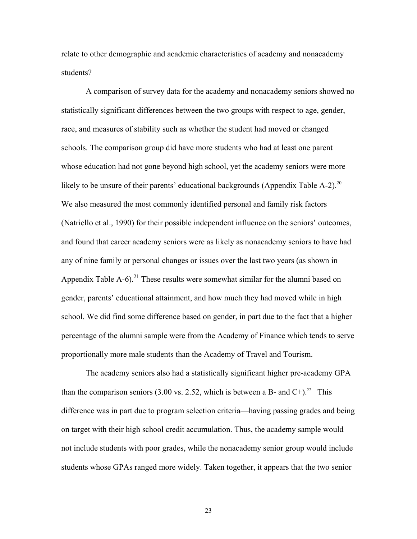relate to other demographic and academic characteristics of academy and nonacademy students?

A comparison of survey data for the academy and nonacademy seniors showed no statistically significant differences between the two groups with respect to age, gender, race, and measures of stability such as whether the student had moved or changed schools. The comparison group did have more students who had at least one parent whose education had not gone beyond high school, yet the academy seniors were more likely to be unsure of their parents' educational backgrounds (Appendix Table  $A-2$ ).<sup>20</sup> We also measured the most commonly identified personal and family risk factors (Natriello et al., 1990) for their possible independent influence on the seniors' outcomes, and found that career academy seniors were as likely as nonacademy seniors to have had any of nine family or personal changes or issues over the last two years (as shown in Appendix Table A-6).<sup>21</sup> These results were somewhat similar for the alumni based on gender, parents' educational attainment, and how much they had moved while in high school. We did find some difference based on gender, in part due to the fact that a higher percentage of the alumni sample were from the Academy of Finance which tends to serve proportionally more male students than the Academy of Travel and Tourism.

The academy seniors also had a statistically significant higher pre-academy GPA than the comparison seniors (3.00 vs. 2.52, which is between a B- and  $C^{+}$ ).<sup>22</sup> This difference was in part due to program selection criteria—having passing grades and being on target with their high school credit accumulation. Thus, the academy sample would not include students with poor grades, while the nonacademy senior group would include students whose GPAs ranged more widely. Taken together, it appears that the two senior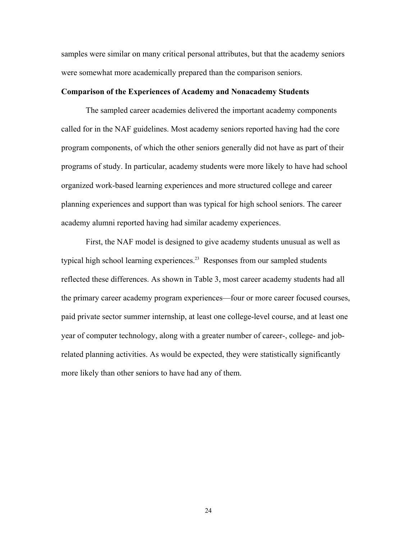samples were similar on many critical personal attributes, but that the academy seniors were somewhat more academically prepared than the comparison seniors.

## **Comparison of the Experiences of Academy and Nonacademy Students**

The sampled career academies delivered the important academy components called for in the NAF guidelines. Most academy seniors reported having had the core program components, of which the other seniors generally did not have as part of their programs of study. In particular, academy students were more likely to have had school organized work-based learning experiences and more structured college and career planning experiences and support than was typical for high school seniors. The career academy alumni reported having had similar academy experiences.

First, the NAF model is designed to give academy students unusual as well as typical high school learning experiences.<sup>23</sup> Responses from our sampled students reflected these differences. As shown in Table 3, most career academy students had all the primary career academy program experiences—four or more career focused courses, paid private sector summer internship, at least one college-level course, and at least one year of computer technology, along with a greater number of career-, college- and jobrelated planning activities. As would be expected, they were statistically significantly more likely than other seniors to have had any of them.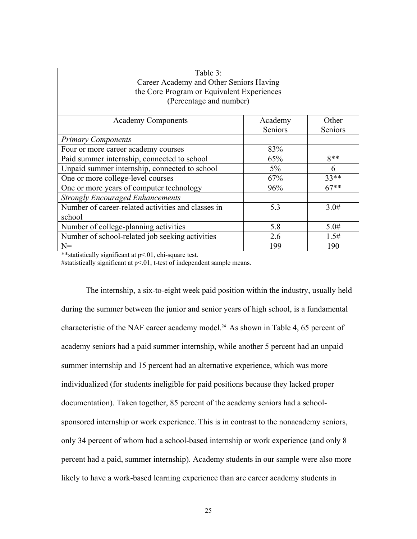| Table 3:                                           |         |         |  |
|----------------------------------------------------|---------|---------|--|
| Career Academy and Other Seniors Having            |         |         |  |
| the Core Program or Equivalent Experiences         |         |         |  |
| (Percentage and number)                            |         |         |  |
|                                                    |         |         |  |
| <b>Academy Components</b><br>Academy<br>Other      |         |         |  |
|                                                    | Seniors | Seniors |  |
| <b>Primary Components</b>                          |         |         |  |
| Four or more career academy courses                | 83%     |         |  |
| Paid summer internship, connected to school        | 65%     | $8**$   |  |
| Unpaid summer internship, connected to school      | $5\%$   | 6       |  |
| One or more college-level courses                  | 67%     | $33**$  |  |
| One or more years of computer technology           | 96%     | $67**$  |  |
| <b>Strongly Encouraged Enhancements</b>            |         |         |  |
| Number of career-related activities and classes in | 5.3     | 3.0#    |  |
| school                                             |         |         |  |
| Number of college-planning activities              | 5.8     | 5.0#    |  |
| Number of school-related job seeking activities    | 2.6     | 1.5#    |  |
| $N =$                                              | 199     | 190     |  |

\*\*statistically significant at p<.01, chi-square test.

#statistically significant at p<.01, t-test of independent sample means.

The internship, a six-to-eight week paid position within the industry, usually held during the summer between the junior and senior years of high school, is a fundamental characteristic of the NAF career academy model.<sup>24</sup> As shown in Table 4, 65 percent of academy seniors had a paid summer internship, while another 5 percent had an unpaid summer internship and 15 percent had an alternative experience, which was more individualized (for students ineligible for paid positions because they lacked proper documentation). Taken together, 85 percent of the academy seniors had a schoolsponsored internship or work experience. This is in contrast to the nonacademy seniors, only 34 percent of whom had a school-based internship or work experience (and only 8 percent had a paid, summer internship). Academy students in our sample were also more likely to have a work-based learning experience than are career academy students in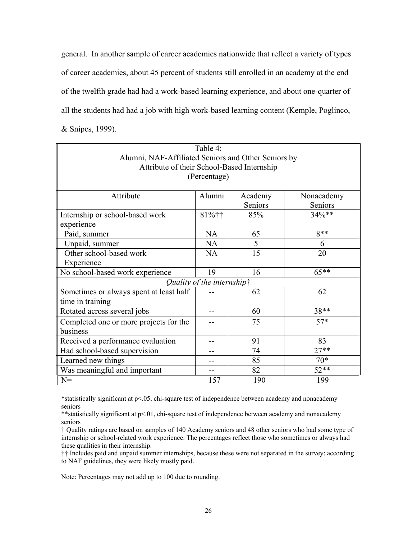general. In another sample of career academies nationwide that reflect a variety of types of career academies, about 45 percent of students still enrolled in an academy at the end of the twelfth grade had had a work-based learning experience, and about one-quarter of all the students had had a job with high work-based learning content (Kemple, Poglinco, & Snipes, 1999).

| Table 4:                                            |                            |         |            |  |  |
|-----------------------------------------------------|----------------------------|---------|------------|--|--|
| Alumni, NAF-Affiliated Seniors and Other Seniors by |                            |         |            |  |  |
| Attribute of their School-Based Internship          |                            |         |            |  |  |
|                                                     | (Percentage)               |         |            |  |  |
|                                                     |                            |         |            |  |  |
| Attribute                                           | Alumni                     | Academy | Nonacademy |  |  |
|                                                     |                            | Seniors | Seniors    |  |  |
| Internship or school-based work                     | 81%††                      | 85%     | 34%**      |  |  |
| experience                                          |                            |         |            |  |  |
| Paid, summer                                        | <b>NA</b>                  | 65      | $8**$      |  |  |
| Unpaid, summer                                      | <b>NA</b>                  | 5       | 6          |  |  |
| Other school-based work                             | NA                         | 15      | 20         |  |  |
| Experience                                          |                            |         |            |  |  |
| No school-based work experience                     | 19                         | 16      | $65***$    |  |  |
|                                                     | Quality of the internshipt |         |            |  |  |
| Sometimes or always spent at least half             |                            | 62      | 62         |  |  |
| time in training                                    |                            |         |            |  |  |
| Rotated across several jobs                         | --                         | 60      | $38**$     |  |  |
| Completed one or more projects for the              |                            | 75      | $57*$      |  |  |
| business                                            |                            |         |            |  |  |
| Received a performance evaluation                   | --                         | 91      | 83         |  |  |
| Had school-based supervision                        | --                         | 74      | $27**$     |  |  |
| Learned new things                                  | --                         | 85      | $70*$      |  |  |
| Was meaningful and important                        | --                         | 82      | $52**$     |  |  |
| $N =$                                               | 157                        | 190     | 199        |  |  |

\*statistically significant at p<.05, chi-square test of independence between academy and nonacademy seniors

\*\*statistically significant at p<.01, chi-square test of independence between academy and nonacademy seniors

† Quality ratings are based on samples of 140 Academy seniors and 48 other seniors who had some type of internship or school-related work experience. The percentages reflect those who sometimes or always had these qualities in their internship.

†† Includes paid and unpaid summer internships, because these were not separated in the survey; according to NAF guidelines, they were likely mostly paid.

Note: Percentages may not add up to 100 due to rounding.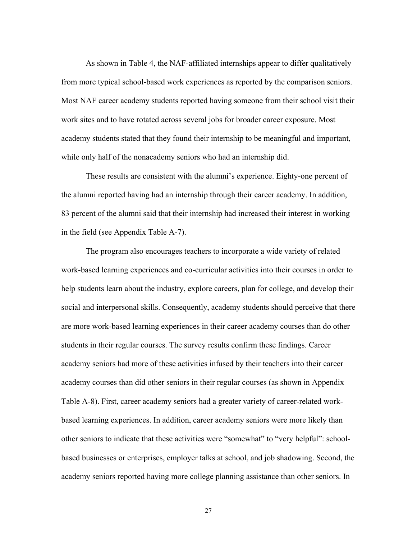As shown in Table 4, the NAF-affiliated internships appear to differ qualitatively from more typical school-based work experiences as reported by the comparison seniors. Most NAF career academy students reported having someone from their school visit their work sites and to have rotated across several jobs for broader career exposure. Most academy students stated that they found their internship to be meaningful and important, while only half of the nonacademy seniors who had an internship did.

These results are consistent with the alumni's experience. Eighty-one percent of the alumni reported having had an internship through their career academy. In addition, 83 percent of the alumni said that their internship had increased their interest in working in the field (see Appendix Table A-7).

The program also encourages teachers to incorporate a wide variety of related work-based learning experiences and co-curricular activities into their courses in order to help students learn about the industry, explore careers, plan for college, and develop their social and interpersonal skills. Consequently, academy students should perceive that there are more work-based learning experiences in their career academy courses than do other students in their regular courses. The survey results confirm these findings. Career academy seniors had more of these activities infused by their teachers into their career academy courses than did other seniors in their regular courses (as shown in Appendix Table A-8). First, career academy seniors had a greater variety of career-related workbased learning experiences. In addition, career academy seniors were more likely than other seniors to indicate that these activities were "somewhat" to "very helpful": schoolbased businesses or enterprises, employer talks at school, and job shadowing. Second, the academy seniors reported having more college planning assistance than other seniors. In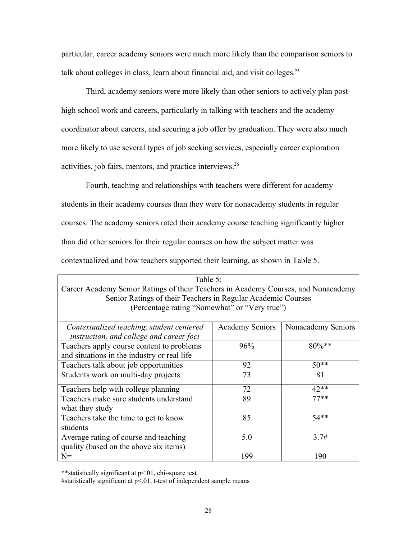particular, career academy seniors were much more likely than the comparison seniors to talk about colleges in class, learn about financial aid, and visit colleges.<sup>25</sup>

Third, academy seniors were more likely than other seniors to actively plan posthigh school work and careers, particularly in talking with teachers and the academy coordinator about careers, and securing a job offer by graduation. They were also much more likely to use several types of job seeking services, especially career exploration activities, job fairs, mentors, and practice interviews.<sup>26</sup>

Fourth, teaching and relationships with teachers were different for academy students in their academy courses than they were for nonacademy students in regular courses. The academy seniors rated their academy course teaching significantly higher than did other seniors for their regular courses on how the subject matter was contextualized and how teachers supported their learning, as shown in Table 5.

| Table 5:                                                                           |                        |                    |  |
|------------------------------------------------------------------------------------|------------------------|--------------------|--|
| Career Academy Senior Ratings of their Teachers in Academy Courses, and Nonacademy |                        |                    |  |
| Senior Ratings of their Teachers in Regular Academic Courses                       |                        |                    |  |
| (Percentage rating "Somewhat" or "Very true")                                      |                        |                    |  |
|                                                                                    |                        |                    |  |
| Contextualized teaching, student centered                                          | <b>Academy Seniors</b> | Nonacademy Seniors |  |
| instruction, and college and career foci                                           |                        |                    |  |
| Teachers apply course content to problems                                          | 96%                    | $80\%**$           |  |
| and situations in the industry or real life                                        |                        |                    |  |
| Teachers talk about job opportunities                                              | 92                     | $50**$             |  |
| Students work on multi-day projects                                                | 73                     | 81                 |  |
| Teachers help with college planning                                                | 72                     | $42**$             |  |
| Teachers make sure students understand                                             | 89                     | $77**$             |  |
| what they study                                                                    |                        |                    |  |
| Teachers take the time to get to know                                              | 85                     | $54**$             |  |
| students                                                                           |                        |                    |  |
| Average rating of course and teaching                                              | 5.0                    | 3.7#               |  |
| quality (based on the above six items)                                             |                        |                    |  |
| $N =$                                                                              | 199                    | 190                |  |

\*\*statistically significant at p<.01, chi-square test

#statistically significant at  $p \le 0.01$ , t-test of independent sample means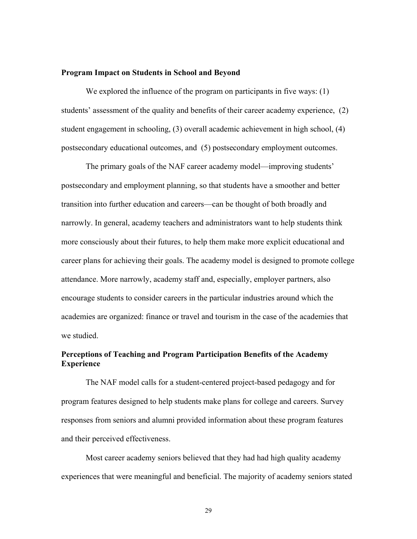### **Program Impact on Students in School and Beyond**

We explored the influence of the program on participants in five ways: (1) students' assessment of the quality and benefits of their career academy experience, (2) student engagement in schooling, (3) overall academic achievement in high school, (4) postsecondary educational outcomes, and (5) postsecondary employment outcomes.

The primary goals of the NAF career academy model—improving students' postsecondary and employment planning, so that students have a smoother and better transition into further education and careers—can be thought of both broadly and narrowly. In general, academy teachers and administrators want to help students think more consciously about their futures, to help them make more explicit educational and career plans for achieving their goals. The academy model is designed to promote college attendance. More narrowly, academy staff and, especially, employer partners, also encourage students to consider careers in the particular industries around which the academies are organized: finance or travel and tourism in the case of the academies that we studied.

# **Perceptions of Teaching and Program Participation Benefits of the Academy Experience**

 The NAF model calls for a student-centered project-based pedagogy and for program features designed to help students make plans for college and careers. Survey responses from seniors and alumni provided information about these program features and their perceived effectiveness.

Most career academy seniors believed that they had had high quality academy experiences that were meaningful and beneficial. The majority of academy seniors stated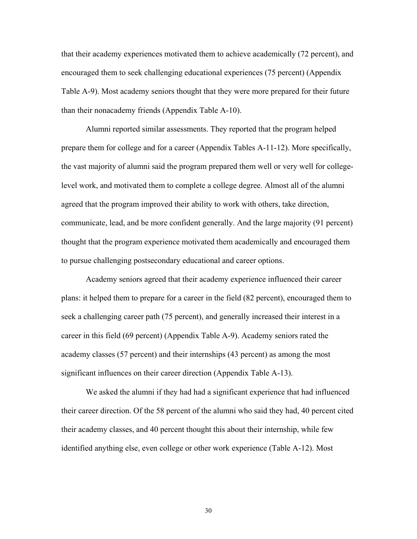that their academy experiences motivated them to achieve academically (72 percent), and encouraged them to seek challenging educational experiences (75 percent) (Appendix Table A-9). Most academy seniors thought that they were more prepared for their future than their nonacademy friends (Appendix Table A-10).

Alumni reported similar assessments. They reported that the program helped prepare them for college and for a career (Appendix Tables A-11-12). More specifically, the vast majority of alumni said the program prepared them well or very well for collegelevel work, and motivated them to complete a college degree. Almost all of the alumni agreed that the program improved their ability to work with others, take direction, communicate, lead, and be more confident generally. And the large majority (91 percent) thought that the program experience motivated them academically and encouraged them to pursue challenging postsecondary educational and career options.

Academy seniors agreed that their academy experience influenced their career plans: it helped them to prepare for a career in the field (82 percent), encouraged them to seek a challenging career path (75 percent), and generally increased their interest in a career in this field (69 percent) (Appendix Table A-9). Academy seniors rated the academy classes (57 percent) and their internships (43 percent) as among the most significant influences on their career direction (Appendix Table A-13).

We asked the alumni if they had had a significant experience that had influenced their career direction. Of the 58 percent of the alumni who said they had, 40 percent cited their academy classes, and 40 percent thought this about their internship, while few identified anything else, even college or other work experience (Table A-12). Most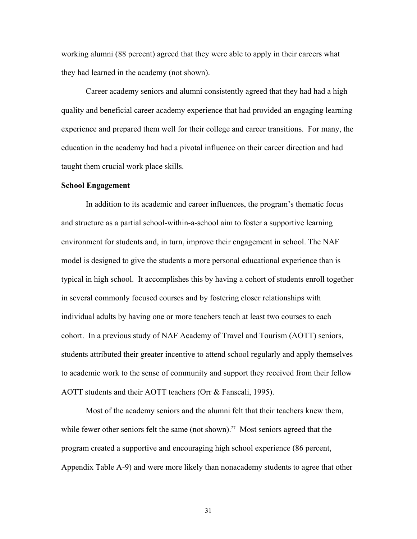working alumni (88 percent) agreed that they were able to apply in their careers what they had learned in the academy (not shown).

Career academy seniors and alumni consistently agreed that they had had a high quality and beneficial career academy experience that had provided an engaging learning experience and prepared them well for their college and career transitions. For many, the education in the academy had had a pivotal influence on their career direction and had taught them crucial work place skills.

#### **School Engagement**

In addition to its academic and career influences, the program's thematic focus and structure as a partial school-within-a-school aim to foster a supportive learning environment for students and, in turn, improve their engagement in school. The NAF model is designed to give the students a more personal educational experience than is typical in high school. It accomplishes this by having a cohort of students enroll together in several commonly focused courses and by fostering closer relationships with individual adults by having one or more teachers teach at least two courses to each cohort. In a previous study of NAF Academy of Travel and Tourism (AOTT) seniors, students attributed their greater incentive to attend school regularly and apply themselves to academic work to the sense of community and support they received from their fellow AOTT students and their AOTT teachers (Orr & Fanscali, 1995).

Most of the academy seniors and the alumni felt that their teachers knew them, while fewer other seniors felt the same (not shown).<sup>27</sup> Most seniors agreed that the program created a supportive and encouraging high school experience (86 percent, Appendix Table A-9) and were more likely than nonacademy students to agree that other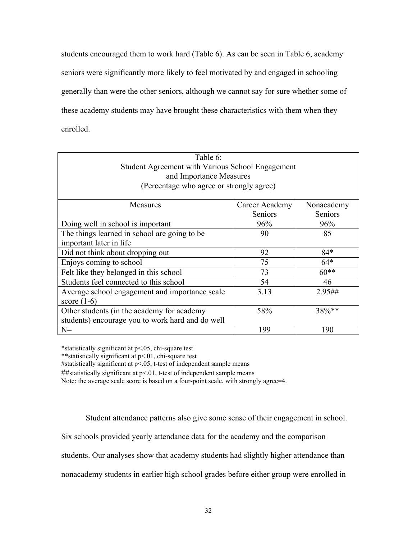students encouraged them to work hard (Table 6). As can be seen in Table 6, academy seniors were significantly more likely to feel motivated by and engaged in schooling generally than were the other seniors, although we cannot say for sure whether some of these academy students may have brought these characteristics with them when they enrolled.

| Table 6:                                                   |         |         |  |
|------------------------------------------------------------|---------|---------|--|
| Student Agreement with Various School Engagement           |         |         |  |
| and Importance Measures                                    |         |         |  |
| (Percentage who agree or strongly agree)                   |         |         |  |
|                                                            |         |         |  |
| Measures<br>Nonacademy<br>Career Academy                   |         |         |  |
|                                                            | Seniors | Seniors |  |
| Doing well in school is important                          | 96%     | 96%     |  |
| The things learned in school are going to be               | 90      | 85      |  |
| important later in life                                    |         |         |  |
| $84*$<br>Did not think about dropping out<br>92            |         |         |  |
| 75<br>$64*$<br>Enjoys coming to school                     |         |         |  |
| Felt like they belonged in this school                     | 73      | $60**$  |  |
| Students feel connected to this school                     | 54      | 46      |  |
| Average school engagement and importance scale             | 3.13    | 2.95##  |  |
| score $(1-6)$                                              |         |         |  |
| 38%**<br>58%<br>Other students (in the academy for academy |         |         |  |
| students) encourage you to work hard and do well           |         |         |  |
| $N =$<br>199<br>190                                        |         |         |  |

\*statistically significant at p<.05, chi-square test

\*\*statistically significant at p<.01, chi-square test

#statistically significant at  $p < 0.05$ , t-test of independent sample means

##statistically significant at p<.01, t-test of independent sample means

Note: the average scale score is based on a four-point scale, with strongly agree=4.

Student attendance patterns also give some sense of their engagement in school.

Six schools provided yearly attendance data for the academy and the comparison

students. Our analyses show that academy students had slightly higher attendance than

nonacademy students in earlier high school grades before either group were enrolled in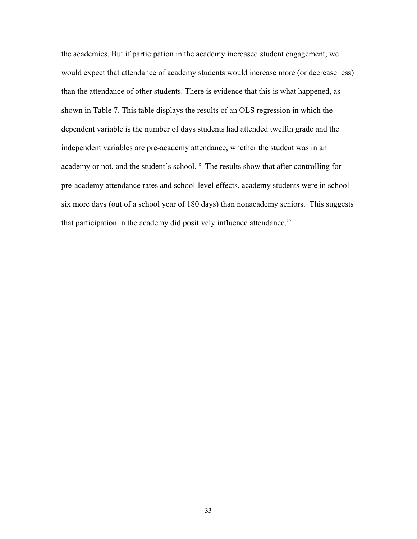the academies. But if participation in the academy increased student engagement, we would expect that attendance of academy students would increase more (or decrease less) than the attendance of other students. There is evidence that this is what happened, as shown in Table 7. This table displays the results of an OLS regression in which the dependent variable is the number of days students had attended twelfth grade and the independent variables are pre-academy attendance, whether the student was in an academy or not, and the student's school.<sup>28</sup> The results show that after controlling for pre-academy attendance rates and school-level effects, academy students were in school six more days (out of a school year of 180 days) than nonacademy seniors. This suggests that participation in the academy did positively influence attendance.<sup>29</sup>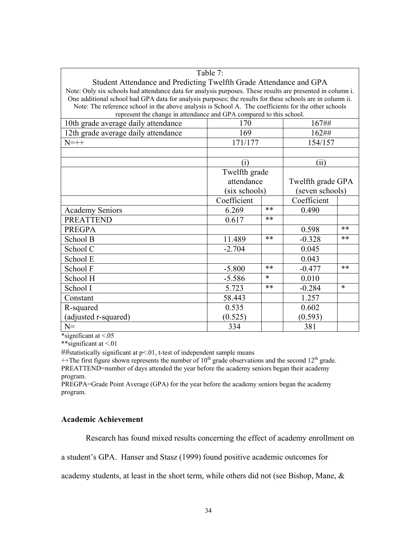| Table 7:                                                                                                   |                                 |       |                 |    |  |  |  |
|------------------------------------------------------------------------------------------------------------|---------------------------------|-------|-----------------|----|--|--|--|
| Student Attendance and Predicting Twelfth Grade Attendance and GPA                                         |                                 |       |                 |    |  |  |  |
| Note: Only six schools had attendance data for analysis purposes. These results are presented in column i. |                                 |       |                 |    |  |  |  |
| One additional school had GPA data for analysis purposes; the results for these schools are in column ii.  |                                 |       |                 |    |  |  |  |
| Note: The reference school in the above analysis is School A. The coefficients for the other schools       |                                 |       |                 |    |  |  |  |
| represent the change in attendance and GPA compared to this school.<br>167##<br>170                        |                                 |       |                 |    |  |  |  |
| 10th grade average daily attendance                                                                        |                                 |       |                 |    |  |  |  |
| 12th grade average daily attendance                                                                        | 169                             |       | 162##           |    |  |  |  |
| $N=++$                                                                                                     | 171/177                         |       | 154/157         |    |  |  |  |
|                                                                                                            |                                 |       |                 |    |  |  |  |
|                                                                                                            | (i)                             |       | (i)             |    |  |  |  |
|                                                                                                            | Twelfth grade                   |       |                 |    |  |  |  |
|                                                                                                            | attendance<br>Twelfth grade GPA |       |                 |    |  |  |  |
|                                                                                                            | (six schools)                   |       | (seven schools) |    |  |  |  |
|                                                                                                            | Coefficient                     |       | Coefficient     |    |  |  |  |
| <b>Academy Seniors</b>                                                                                     | 6.269                           | $**$  | 0.490           |    |  |  |  |
| <b>PREATTEND</b>                                                                                           | 0.617                           | $***$ |                 |    |  |  |  |
| <b>PREGPA</b>                                                                                              |                                 |       | 0.598           | ** |  |  |  |
| School B                                                                                                   | 11.489                          | $***$ | $-0.328$        | ** |  |  |  |
| School C                                                                                                   | $-2.704$                        |       | 0.045           |    |  |  |  |
| School E                                                                                                   |                                 |       | 0.043           |    |  |  |  |
| School F                                                                                                   | $***$<br>$-5.800$               |       | $-0.477$        | ** |  |  |  |
| School H                                                                                                   | $\ast$<br>$-5.586$              |       | 0.010           |    |  |  |  |
| School I                                                                                                   | **<br>5.723                     |       | $-0.284$        | *  |  |  |  |
| Constant                                                                                                   | 1.257<br>58.443                 |       |                 |    |  |  |  |
| R-squared                                                                                                  | 0.535                           |       | 0.602           |    |  |  |  |
| (adjusted r-squared)                                                                                       | (0.525)<br>(0.593)              |       |                 |    |  |  |  |
| $N =$                                                                                                      | 334<br>381                      |       |                 |    |  |  |  |

\*significant at  $\leq 0.05$ 

\*\*significant at <.01

##statistically significant at p<.01, t-test of independent sample means

 $+$ The first figure shown represents the number of 10<sup>th</sup> grade observations and the second 12<sup>th</sup> grade. PREATTEND=number of days attended the year before the academy seniors began their academy program.

PREGPA=Grade Point Average (GPA) for the year before the academy seniors began the academy program.

# **Academic Achievement**

Research has found mixed results concerning the effect of academy enrollment on

a student's GPA. Hanser and Stasz (1999) found positive academic outcomes for

academy students, at least in the short term, while others did not (see Bishop, Mane, &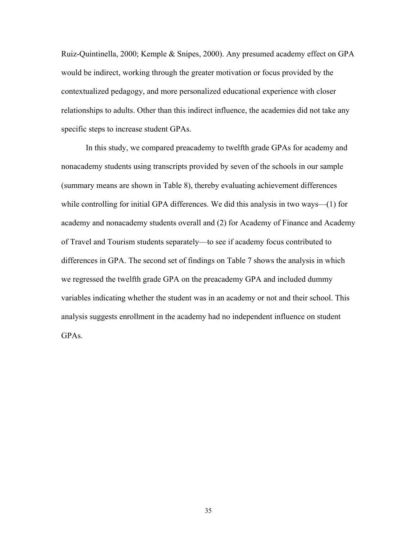Ruiz-Quintinella, 2000; Kemple & Snipes, 2000). Any presumed academy effect on GPA would be indirect, working through the greater motivation or focus provided by the contextualized pedagogy, and more personalized educational experience with closer relationships to adults. Other than this indirect influence, the academies did not take any specific steps to increase student GPAs.

In this study, we compared preacademy to twelfth grade GPAs for academy and nonacademy students using transcripts provided by seven of the schools in our sample (summary means are shown in Table 8), thereby evaluating achievement differences while controlling for initial GPA differences. We did this analysis in two ways—(1) for academy and nonacademy students overall and (2) for Academy of Finance and Academy of Travel and Tourism students separately—to see if academy focus contributed to differences in GPA. The second set of findings on Table 7 shows the analysis in which we regressed the twelfth grade GPA on the preacademy GPA and included dummy variables indicating whether the student was in an academy or not and their school. This analysis suggests enrollment in the academy had no independent influence on student GPAs.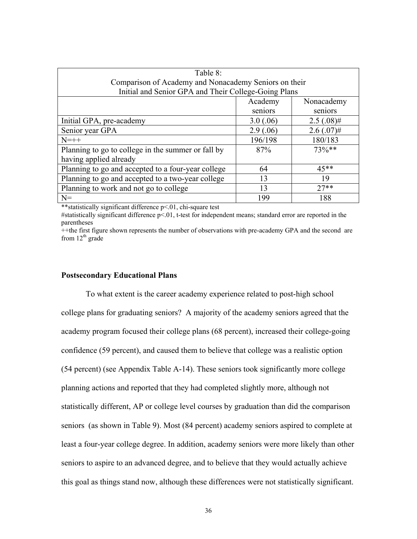| Table 8:                                              |           |              |  |  |  |  |  |
|-------------------------------------------------------|-----------|--------------|--|--|--|--|--|
| Comparison of Academy and Nonacademy Seniors on their |           |              |  |  |  |  |  |
| Initial and Senior GPA and Their College-Going Plans  |           |              |  |  |  |  |  |
| Academy<br>Nonacademy                                 |           |              |  |  |  |  |  |
|                                                       | seniors   | seniors      |  |  |  |  |  |
| Initial GPA, pre-academy                              | 3.0(.06)  | $2.5(.08)$ # |  |  |  |  |  |
| Senior year GPA                                       | 2.9(0.06) | $2.6(.07)$ # |  |  |  |  |  |
| $N=++$                                                | 196/198   | 180/183      |  |  |  |  |  |
| Planning to go to college in the summer or fall by    | 87%       | $73\%**$     |  |  |  |  |  |
| having applied already                                |           |              |  |  |  |  |  |
| Planning to go and accepted to a four-year college    | 64        | $45**$       |  |  |  |  |  |
| Planning to go and accepted to a two-year college     | 13        | 19           |  |  |  |  |  |
| Planning to work and not go to college                | 13        | $27**$       |  |  |  |  |  |
| $N =$                                                 | 199       | 188          |  |  |  |  |  |

\*\*statistically significant difference p<.01, chi-square test

#statistically significant difference  $p<01$ , t-test for independent means; standard error are reported in the parentheses

++the first figure shown represents the number of observations with pre-academy GPA and the second are from  $12<sup>th</sup>$  grade

### **Postsecondary Educational Plans**

 To what extent is the career academy experience related to post-high school college plans for graduating seniors? A majority of the academy seniors agreed that the academy program focused their college plans (68 percent), increased their college-going confidence (59 percent), and caused them to believe that college was a realistic option (54 percent) (see Appendix Table A-14). These seniors took significantly more college planning actions and reported that they had completed slightly more, although not statistically different, AP or college level courses by graduation than did the comparison seniors (as shown in Table 9). Most (84 percent) academy seniors aspired to complete at least a four-year college degree. In addition, academy seniors were more likely than other seniors to aspire to an advanced degree, and to believe that they would actually achieve this goal as things stand now, although these differences were not statistically significant.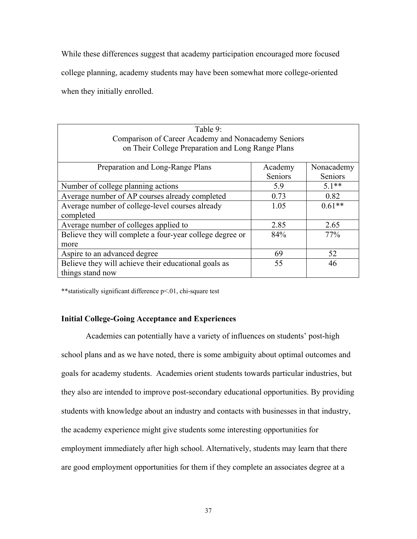While these differences suggest that academy participation encouraged more focused

college planning, academy students may have been somewhat more college-oriented

when they initially enrolled.

| Table 9:                                                         |                                                   |            |  |  |  |  |  |
|------------------------------------------------------------------|---------------------------------------------------|------------|--|--|--|--|--|
| Comparison of Career Academy and Nonacademy Seniors              |                                                   |            |  |  |  |  |  |
|                                                                  | on Their College Preparation and Long Range Plans |            |  |  |  |  |  |
|                                                                  |                                                   |            |  |  |  |  |  |
| Preparation and Long-Range Plans                                 | Academy                                           | Nonacademy |  |  |  |  |  |
|                                                                  | Seniors                                           | Seniors    |  |  |  |  |  |
| Number of college planning actions                               | 5.9                                               | $5.1**$    |  |  |  |  |  |
| Average number of AP courses already completed                   | 0.73                                              | 0.82       |  |  |  |  |  |
| Average number of college-level courses already                  | 1.05                                              | $0.61**$   |  |  |  |  |  |
| completed                                                        |                                                   |            |  |  |  |  |  |
| Average number of colleges applied to                            | 2.85                                              | 2.65       |  |  |  |  |  |
| Believe they will complete a four-year college degree or         | 84%                                               | 77%        |  |  |  |  |  |
| more                                                             |                                                   |            |  |  |  |  |  |
| Aspire to an advanced degree                                     | 69                                                | 52         |  |  |  |  |  |
| Believe they will achieve their educational goals as<br>55<br>46 |                                                   |            |  |  |  |  |  |
| things stand now                                                 |                                                   |            |  |  |  |  |  |

\*\*statistically significant difference p<.01, chi-square test

# **Initial College-Going Acceptance and Experiences**

Academies can potentially have a variety of influences on students' post-high school plans and as we have noted, there is some ambiguity about optimal outcomes and goals for academy students. Academies orient students towards particular industries, but they also are intended to improve post-secondary educational opportunities. By providing students with knowledge about an industry and contacts with businesses in that industry, the academy experience might give students some interesting opportunities for employment immediately after high school. Alternatively, students may learn that there are good employment opportunities for them if they complete an associates degree at a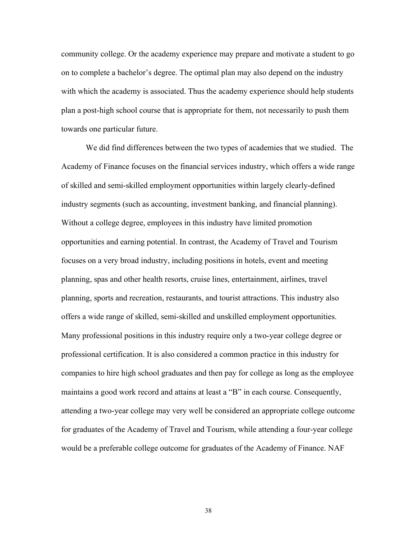community college. Or the academy experience may prepare and motivate a student to go on to complete a bachelor's degree. The optimal plan may also depend on the industry with which the academy is associated. Thus the academy experience should help students plan a post-high school course that is appropriate for them, not necessarily to push them towards one particular future.

We did find differences between the two types of academies that we studied. The Academy of Finance focuses on the financial services industry, which offers a wide range of skilled and semi-skilled employment opportunities within largely clearly-defined industry segments (such as accounting, investment banking, and financial planning). Without a college degree, employees in this industry have limited promotion opportunities and earning potential. In contrast, the Academy of Travel and Tourism focuses on a very broad industry, including positions in hotels, event and meeting planning, spas and other health resorts, cruise lines, entertainment, airlines, travel planning, sports and recreation, restaurants, and tourist attractions. This industry also offers a wide range of skilled, semi-skilled and unskilled employment opportunities. Many professional positions in this industry require only a two-year college degree or professional certification. It is also considered a common practice in this industry for companies to hire high school graduates and then pay for college as long as the employee maintains a good work record and attains at least a "B" in each course. Consequently, attending a two-year college may very well be considered an appropriate college outcome for graduates of the Academy of Travel and Tourism, while attending a four-year college would be a preferable college outcome for graduates of the Academy of Finance. NAF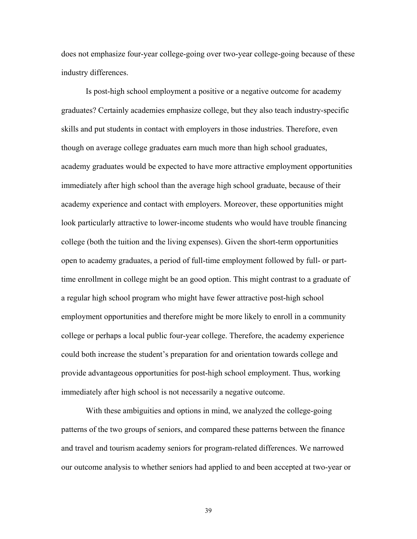does not emphasize four-year college-going over two-year college-going because of these industry differences.

Is post-high school employment a positive or a negative outcome for academy graduates? Certainly academies emphasize college, but they also teach industry-specific skills and put students in contact with employers in those industries. Therefore, even though on average college graduates earn much more than high school graduates, academy graduates would be expected to have more attractive employment opportunities immediately after high school than the average high school graduate, because of their academy experience and contact with employers. Moreover, these opportunities might look particularly attractive to lower-income students who would have trouble financing college (both the tuition and the living expenses). Given the short-term opportunities open to academy graduates, a period of full-time employment followed by full- or parttime enrollment in college might be an good option. This might contrast to a graduate of a regular high school program who might have fewer attractive post-high school employment opportunities and therefore might be more likely to enroll in a community college or perhaps a local public four-year college. Therefore, the academy experience could both increase the student's preparation for and orientation towards college and provide advantageous opportunities for post-high school employment. Thus, working immediately after high school is not necessarily a negative outcome.

With these ambiguities and options in mind, we analyzed the college-going patterns of the two groups of seniors, and compared these patterns between the finance and travel and tourism academy seniors for program-related differences. We narrowed our outcome analysis to whether seniors had applied to and been accepted at two-year or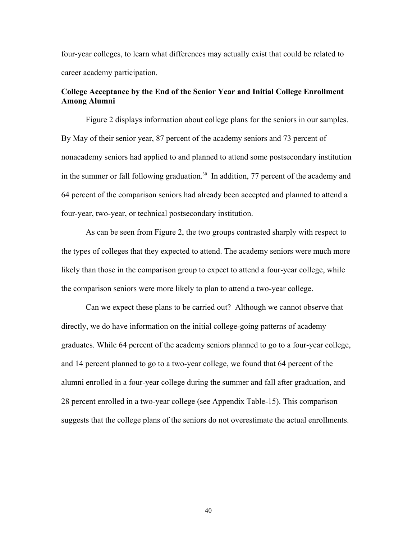four-year colleges, to learn what differences may actually exist that could be related to career academy participation.

# **College Acceptance by the End of the Senior Year and Initial College Enrollment Among Alumni**

Figure 2 displays information about college plans for the seniors in our samples. By May of their senior year, 87 percent of the academy seniors and 73 percent of nonacademy seniors had applied to and planned to attend some postsecondary institution in the summer or fall following graduation.<sup>30</sup> In addition, 77 percent of the academy and 64 percent of the comparison seniors had already been accepted and planned to attend a four-year, two-year, or technical postsecondary institution.

As can be seen from Figure 2, the two groups contrasted sharply with respect to the types of colleges that they expected to attend. The academy seniors were much more likely than those in the comparison group to expect to attend a four-year college, while the comparison seniors were more likely to plan to attend a two-year college.

Can we expect these plans to be carried out? Although we cannot observe that directly, we do have information on the initial college-going patterns of academy graduates. While 64 percent of the academy seniors planned to go to a four-year college, and 14 percent planned to go to a two-year college, we found that 64 percent of the alumni enrolled in a four-year college during the summer and fall after graduation, and 28 percent enrolled in a two-year college (see Appendix Table-15). This comparison suggests that the college plans of the seniors do not overestimate the actual enrollments.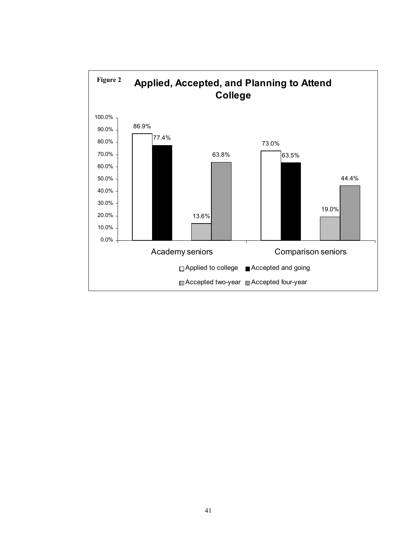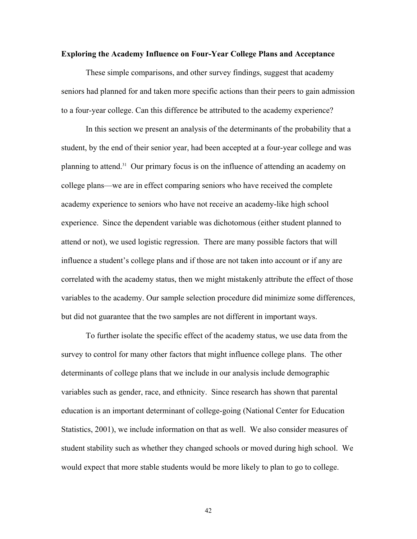#### **Exploring the Academy Influence on Four-Year College Plans and Acceptance**

These simple comparisons, and other survey findings, suggest that academy seniors had planned for and taken more specific actions than their peers to gain admission to a four-year college. Can this difference be attributed to the academy experience?

In this section we present an analysis of the determinants of the probability that a student, by the end of their senior year, had been accepted at a four-year college and was planning to attend.31 Our primary focus is on the influence of attending an academy on college plans—we are in effect comparing seniors who have received the complete academy experience to seniors who have not receive an academy-like high school experience. Since the dependent variable was dichotomous (either student planned to attend or not), we used logistic regression. There are many possible factors that will influence a student's college plans and if those are not taken into account or if any are correlated with the academy status, then we might mistakenly attribute the effect of those variables to the academy. Our sample selection procedure did minimize some differences, but did not guarantee that the two samples are not different in important ways.

To further isolate the specific effect of the academy status, we use data from the survey to control for many other factors that might influence college plans. The other determinants of college plans that we include in our analysis include demographic variables such as gender, race, and ethnicity. Since research has shown that parental education is an important determinant of college-going (National Center for Education Statistics, 2001), we include information on that as well. We also consider measures of student stability such as whether they changed schools or moved during high school. We would expect that more stable students would be more likely to plan to go to college.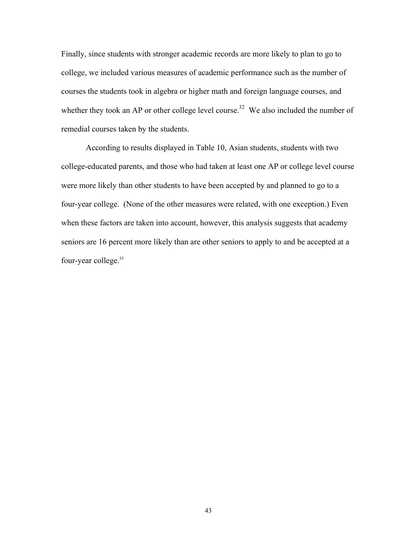Finally, since students with stronger academic records are more likely to plan to go to college, we included various measures of academic performance such as the number of courses the students took in algebra or higher math and foreign language courses, and whether they took an AP or other college level course.<sup>32</sup> We also included the number of remedial courses taken by the students.

According to results displayed in Table 10, Asian students, students with two college-educated parents, and those who had taken at least one AP or college level course were more likely than other students to have been accepted by and planned to go to a four-year college. (None of the other measures were related, with one exception.) Even when these factors are taken into account, however, this analysis suggests that academy seniors are 16 percent more likely than are other seniors to apply to and be accepted at a four-year college.<sup>33</sup>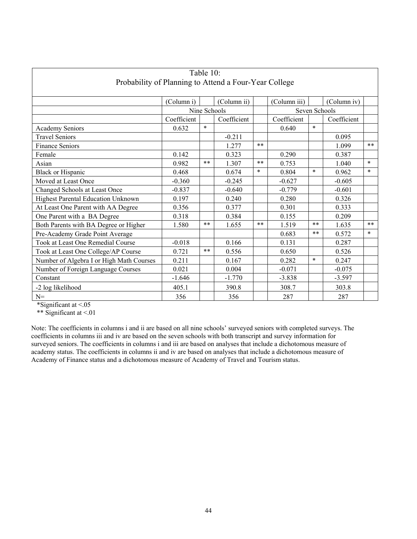| Table 10:                                             |                                                          |        |             |         |             |        |             |        |
|-------------------------------------------------------|----------------------------------------------------------|--------|-------------|---------|-------------|--------|-------------|--------|
| Probability of Planning to Attend a Four-Year College |                                                          |        |             |         |             |        |             |        |
|                                                       |                                                          |        |             |         |             |        |             |        |
|                                                       | (Column ii)<br>(Column iii)<br>(Column i)<br>(Column iv) |        |             |         |             |        |             |        |
|                                                       | Nine Schools<br>Seven Schools                            |        |             |         |             |        |             |        |
|                                                       | Coefficient                                              |        | Coefficient |         | Coefficient |        | Coefficient |        |
| <b>Academy Seniors</b>                                | 0.632                                                    | $\ast$ |             |         | 0.640       | $\ast$ |             |        |
| <b>Travel Seniors</b>                                 |                                                          |        | $-0.211$    |         |             |        | 0.095       |        |
| <b>Finance Seniors</b>                                |                                                          |        | 1.277       | $**$    |             |        | 1.099       | $**$   |
| Female                                                | 0.142                                                    |        | 0.323       |         | 0.290       |        | 0.387       |        |
| Asian                                                 | 0.982                                                    | **     | 1.307       | $***$   | 0.753       |        | 1.040       | $\ast$ |
| <b>Black or Hispanic</b>                              | 0.468                                                    |        | 0.674       | $\star$ | 0.804       | $\ast$ | 0.962       | $\ast$ |
| Moved at Least Once                                   | $-0.360$                                                 |        | $-0.245$    |         | $-0.627$    |        | $-0.605$    |        |
| Changed Schools at Least Once                         | $-0.837$                                                 |        | $-0.640$    |         | $-0.779$    |        | $-0.601$    |        |
| Highest Parental Education Unknown                    | 0.197                                                    |        | 0.240       |         | 0.280       |        | 0.326       |        |
| At Least One Parent with AA Degree                    | 0.356                                                    |        | 0.377       |         | 0.301       |        | 0.333       |        |
| One Parent with a BA Degree                           | 0.318                                                    |        | 0.384       |         | 0.155       |        | 0.209       |        |
| Both Parents with BA Degree or Higher                 | 1.580                                                    | $**$   | 1.655       | $***$   | 1.519       | **     | 1.635       | $***$  |
| Pre-Academy Grade Point Average                       |                                                          |        |             |         | 0.683       | $**$   | 0.572       | $\ast$ |
| Took at Least One Remedial Course                     | $-0.018$                                                 |        | 0.166       |         | 0.131       |        | 0.287       |        |
| Took at Least One College/AP Course                   | 0.721                                                    | $**$   | 0.556       |         | 0.650       |        | 0.526       |        |
| Number of Algebra I or High Math Courses              | 0.211                                                    |        | 0.167       |         | 0.282       | $\ast$ | 0.247       |        |
| Number of Foreign Language Courses                    | 0.021                                                    |        | 0.004       |         | $-0.071$    |        | $-0.075$    |        |
| Constant                                              | $-1.646$                                                 |        | $-1.770$    |         | $-3.838$    |        | $-3.597$    |        |
| -2 log likelihood                                     | 405.1                                                    |        | 390.8       |         | 308.7       |        | 303.8       |        |
| $N=$<br>287<br>356<br>356<br>287                      |                                                          |        |             |         |             |        |             |        |

\*Significant at <.05

\*\* Significant at <.01

 Note: The coefficients in columns i and ii are based on all nine schools' surveyed seniors with completed surveys. The coefficients in columns iii and iv are based on the seven schools with both transcript and survey information for surveyed seniors. The coefficients in columns i and iii are based on analyses that include a dichotomous measure of academy status. The coefficients in columns ii and iv are based on analyses that include a dichotomous measure of Academy of Finance status and a dichotomous measure of Academy of Travel and Tourism status.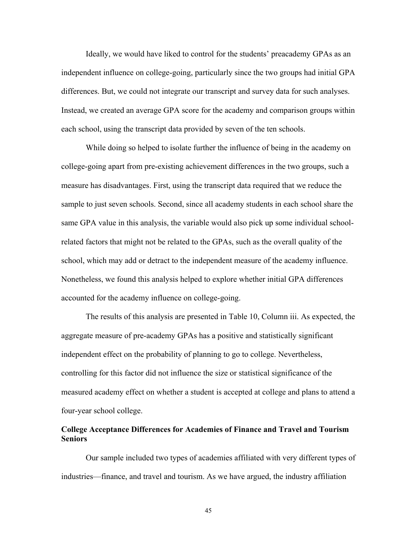Ideally, we would have liked to control for the students' preacademy GPAs as an independent influence on college-going, particularly since the two groups had initial GPA differences. But, we could not integrate our transcript and survey data for such analyses. Instead, we created an average GPA score for the academy and comparison groups within each school, using the transcript data provided by seven of the ten schools.

While doing so helped to isolate further the influence of being in the academy on college-going apart from pre-existing achievement differences in the two groups, such a measure has disadvantages. First, using the transcript data required that we reduce the sample to just seven schools. Second, since all academy students in each school share the same GPA value in this analysis, the variable would also pick up some individual schoolrelated factors that might not be related to the GPAs, such as the overall quality of the school, which may add or detract to the independent measure of the academy influence. Nonetheless, we found this analysis helped to explore whether initial GPA differences accounted for the academy influence on college-going.

The results of this analysis are presented in Table 10, Column iii. As expected, the aggregate measure of pre-academy GPAs has a positive and statistically significant independent effect on the probability of planning to go to college. Nevertheless, controlling for this factor did not influence the size or statistical significance of the measured academy effect on whether a student is accepted at college and plans to attend a four-year school college.

### **College Acceptance Differences for Academies of Finance and Travel and Tourism Seniors**

Our sample included two types of academies affiliated with very different types of industries—finance, and travel and tourism. As we have argued, the industry affiliation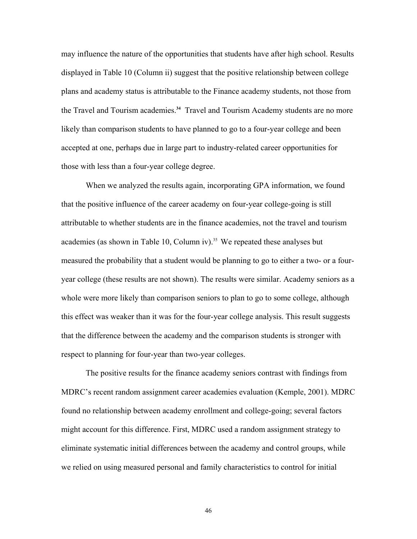may influence the nature of the opportunities that students have after high school. Results displayed in Table 10 (Column ii) suggest that the positive relationship between college plans and academy status is attributable to the Finance academy students, not those from the Travel and Tourism academies.**<sup>34</sup>** Travel and Tourism Academy students are no more likely than comparison students to have planned to go to a four-year college and been accepted at one, perhaps due in large part to industry-related career opportunities for those with less than a four-year college degree.

When we analyzed the results again, incorporating GPA information, we found that the positive influence of the career academy on four-year college-going is still attributable to whether students are in the finance academies, not the travel and tourism academies (as shown in Table 10, Column iv).<sup>35</sup> We repeated these analyses but measured the probability that a student would be planning to go to either a two- or a fouryear college (these results are not shown). The results were similar. Academy seniors as a whole were more likely than comparison seniors to plan to go to some college, although this effect was weaker than it was for the four-year college analysis. This result suggests that the difference between the academy and the comparison students is stronger with respect to planning for four-year than two-year colleges.

The positive results for the finance academy seniors contrast with findings from MDRC's recent random assignment career academies evaluation (Kemple, 2001). MDRC found no relationship between academy enrollment and college-going; several factors might account for this difference. First, MDRC used a random assignment strategy to eliminate systematic initial differences between the academy and control groups, while we relied on using measured personal and family characteristics to control for initial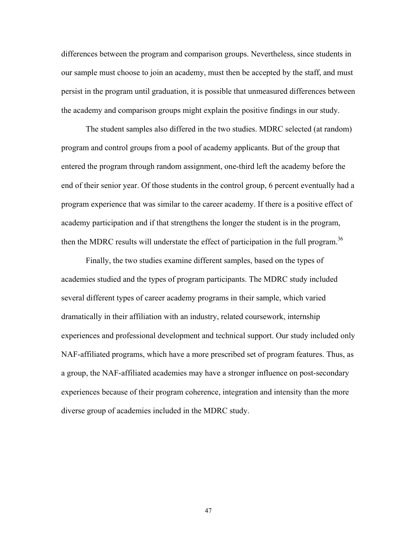differences between the program and comparison groups. Nevertheless, since students in our sample must choose to join an academy, must then be accepted by the staff, and must persist in the program until graduation, it is possible that unmeasured differences between the academy and comparison groups might explain the positive findings in our study.

The student samples also differed in the two studies. MDRC selected (at random) program and control groups from a pool of academy applicants. But of the group that entered the program through random assignment, one-third left the academy before the end of their senior year. Of those students in the control group, 6 percent eventually had a program experience that was similar to the career academy. If there is a positive effect of academy participation and if that strengthens the longer the student is in the program, then the MDRC results will understate the effect of participation in the full program.<sup>36</sup>

Finally, the two studies examine different samples, based on the types of academies studied and the types of program participants. The MDRC study included several different types of career academy programs in their sample, which varied dramatically in their affiliation with an industry, related coursework, internship experiences and professional development and technical support. Our study included only NAF-affiliated programs, which have a more prescribed set of program features. Thus, as a group, the NAF-affiliated academies may have a stronger influence on post-secondary experiences because of their program coherence, integration and intensity than the more diverse group of academies included in the MDRC study.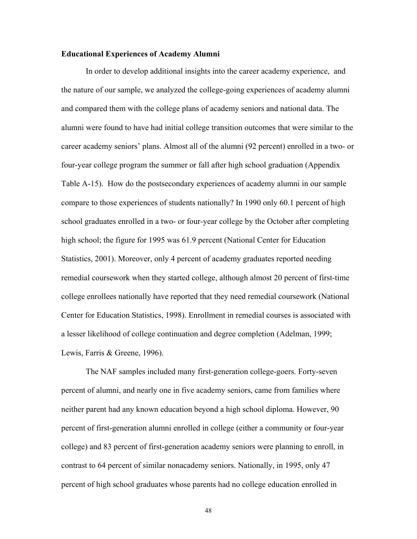### **Educational Experiences of Academy Alumni**

In order to develop additional insights into the career academy experience, and the nature of our sample, we analyzed the college-going experiences of academy alumni and compared them with the college plans of academy seniors and national data. The alumni were found to have had initial college transition outcomes that were similar to the career academy seniors' plans. Almost all of the alumni (92 percent) enrolled in a two- or four-year college program the summer or fall after high school graduation (Appendix Table A-15). How do the postsecondary experiences of academy alumni in our sample compare to those experiences of students nationally? In 1990 only 60.1 percent of high school graduates enrolled in a two- or four-year college by the October after completing high school; the figure for 1995 was 61.9 percent (National Center for Education Statistics, 2001). Moreover, only 4 percent of academy graduates reported needing remedial coursework when they started college, although almost 20 percent of first-time college enrollees nationally have reported that they need remedial coursework (National Center for Education Statistics, 1998). Enrollment in remedial courses is associated with a lesser likelihood of college continuation and degree completion (Adelman, 1999; Lewis, Farris & Greene, 1996).

The NAF samples included many first-generation college-goers. Forty-seven percent of alumni, and nearly one in five academy seniors, came from families where neither parent had any known education beyond a high school diploma. However, 90 percent of first-generation alumni enrolled in college (either a community or four-year college) and 83 percent of first-generation academy seniors were planning to enroll, in contrast to 64 percent of similar nonacademy seniors. Nationally, in 1995, only 47 percent of high school graduates whose parents had no college education enrolled in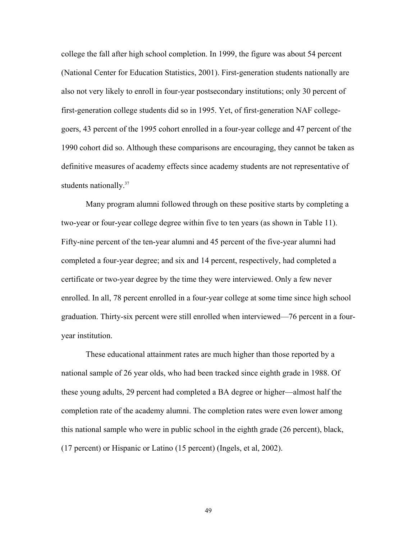college the fall after high school completion. In 1999, the figure was about 54 percent (National Center for Education Statistics, 2001). First-generation students nationally are also not very likely to enroll in four-year postsecondary institutions; only 30 percent of first-generation college students did so in 1995. Yet, of first-generation NAF collegegoers, 43 percent of the 1995 cohort enrolled in a four-year college and 47 percent of the 1990 cohort did so. Although these comparisons are encouraging, they cannot be taken as definitive measures of academy effects since academy students are not representative of students nationally.<sup>37</sup>

Many program alumni followed through on these positive starts by completing a two-year or four-year college degree within five to ten years (as shown in Table 11). Fifty-nine percent of the ten-year alumni and 45 percent of the five-year alumni had completed a four-year degree; and six and 14 percent, respectively, had completed a certificate or two-year degree by the time they were interviewed. Only a few never enrolled. In all, 78 percent enrolled in a four-year college at some time since high school graduation. Thirty-six percent were still enrolled when interviewed—76 percent in a fouryear institution.

These educational attainment rates are much higher than those reported by a national sample of 26 year olds, who had been tracked since eighth grade in 1988. Of these young adults, 29 percent had completed a BA degree or higher—almost half the completion rate of the academy alumni. The completion rates were even lower among this national sample who were in public school in the eighth grade (26 percent), black, (17 percent) or Hispanic or Latino (15 percent) (Ingels, et al, 2002).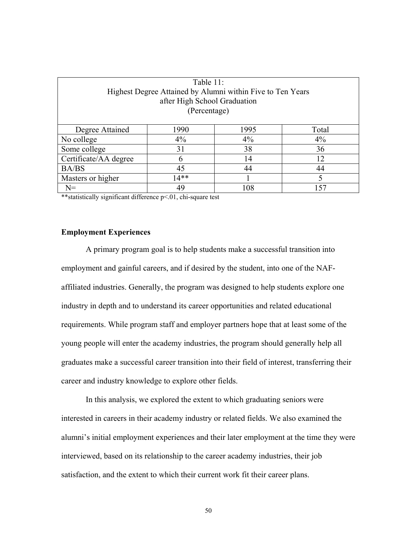| Table 11:                                                  |                              |     |     |  |  |  |  |
|------------------------------------------------------------|------------------------------|-----|-----|--|--|--|--|
| Highest Degree Attained by Alumni within Five to Ten Years |                              |     |     |  |  |  |  |
|                                                            | after High School Graduation |     |     |  |  |  |  |
| (Percentage)                                               |                              |     |     |  |  |  |  |
|                                                            |                              |     |     |  |  |  |  |
| Degree Attained<br>1990<br>1995<br>Total                   |                              |     |     |  |  |  |  |
| No college                                                 | 4%                           | 4%  | 4%  |  |  |  |  |
| Some college                                               | 31                           | 38  | 36  |  |  |  |  |
| Certificate/AA degree                                      | 6                            | 14  | 12. |  |  |  |  |
| <b>BA/BS</b>                                               | 45                           | 44  | 44  |  |  |  |  |
| 14**<br>Masters or higher                                  |                              |     |     |  |  |  |  |
| $N =$                                                      | 49                           | 108 | 157 |  |  |  |  |

\*\*statistically significant difference p<.01, chi-square test

### **Employment Experiences**

 A primary program goal is to help students make a successful transition into employment and gainful careers, and if desired by the student, into one of the NAFaffiliated industries. Generally, the program was designed to help students explore one industry in depth and to understand its career opportunities and related educational requirements. While program staff and employer partners hope that at least some of the young people will enter the academy industries, the program should generally help all graduates make a successful career transition into their field of interest, transferring their career and industry knowledge to explore other fields.

In this analysis, we explored the extent to which graduating seniors were interested in careers in their academy industry or related fields. We also examined the alumni's initial employment experiences and their later employment at the time they were interviewed, based on its relationship to the career academy industries, their job satisfaction, and the extent to which their current work fit their career plans.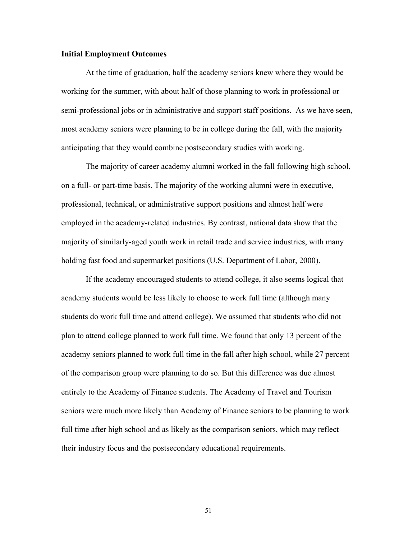### **Initial Employment Outcomes**

At the time of graduation, half the academy seniors knew where they would be working for the summer, with about half of those planning to work in professional or semi-professional jobs or in administrative and support staff positions. As we have seen, most academy seniors were planning to be in college during the fall, with the majority anticipating that they would combine postsecondary studies with working.

The majority of career academy alumni worked in the fall following high school, on a full- or part-time basis. The majority of the working alumni were in executive, professional, technical, or administrative support positions and almost half were employed in the academy-related industries. By contrast, national data show that the majority of similarly-aged youth work in retail trade and service industries, with many holding fast food and supermarket positions (U.S. Department of Labor, 2000).

 If the academy encouraged students to attend college, it also seems logical that academy students would be less likely to choose to work full time (although many students do work full time and attend college). We assumed that students who did not plan to attend college planned to work full time. We found that only 13 percent of the academy seniors planned to work full time in the fall after high school, while 27 percent of the comparison group were planning to do so. But this difference was due almost entirely to the Academy of Finance students. The Academy of Travel and Tourism seniors were much more likely than Academy of Finance seniors to be planning to work full time after high school and as likely as the comparison seniors, which may reflect their industry focus and the postsecondary educational requirements.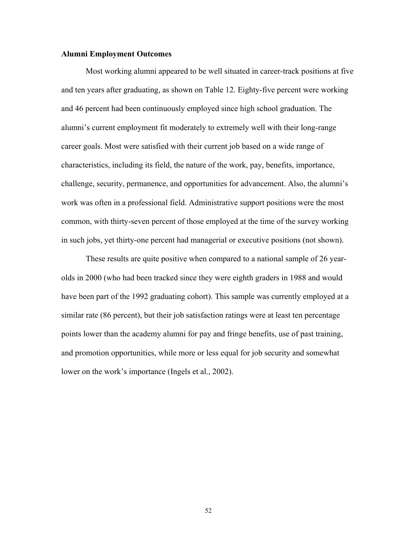### **Alumni Employment Outcomes**

Most working alumni appeared to be well situated in career-track positions at five and ten years after graduating, as shown on Table 12. Eighty-five percent were working and 46 percent had been continuously employed since high school graduation. The alumni's current employment fit moderately to extremely well with their long-range career goals. Most were satisfied with their current job based on a wide range of characteristics, including its field, the nature of the work, pay, benefits, importance, challenge, security, permanence, and opportunities for advancement. Also, the alumni's work was often in a professional field. Administrative support positions were the most common, with thirty-seven percent of those employed at the time of the survey working in such jobs, yet thirty-one percent had managerial or executive positions (not shown).

These results are quite positive when compared to a national sample of 26 yearolds in 2000 (who had been tracked since they were eighth graders in 1988 and would have been part of the 1992 graduating cohort). This sample was currently employed at a similar rate (86 percent), but their job satisfaction ratings were at least ten percentage points lower than the academy alumni for pay and fringe benefits, use of past training, and promotion opportunities, while more or less equal for job security and somewhat lower on the work's importance (Ingels et al., 2002).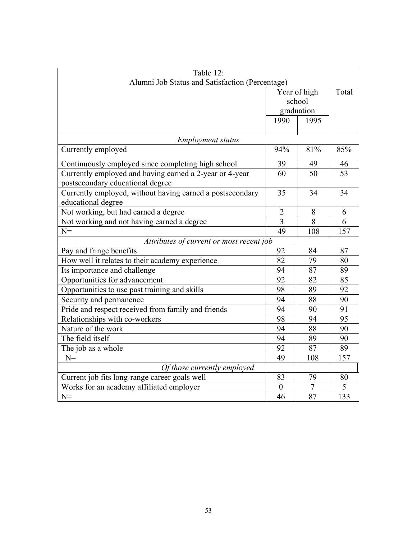| Table 12:                                                 |                  |       |     |  |  |  |  |
|-----------------------------------------------------------|------------------|-------|-----|--|--|--|--|
| Alumni Job Status and Satisfaction (Percentage)           |                  |       |     |  |  |  |  |
|                                                           | Year of high     | Total |     |  |  |  |  |
|                                                           | school           |       |     |  |  |  |  |
|                                                           | graduation       |       |     |  |  |  |  |
|                                                           | 1990             | 1995  |     |  |  |  |  |
|                                                           |                  |       |     |  |  |  |  |
| <b>Employment status</b>                                  |                  |       |     |  |  |  |  |
| Currently employed                                        | 94%              | 81%   | 85% |  |  |  |  |
| Continuously employed since completing high school        | 39               | 49    | 46  |  |  |  |  |
| Currently employed and having earned a 2-year or 4-year   | 60               | 50    | 53  |  |  |  |  |
| postsecondary educational degree                          |                  |       |     |  |  |  |  |
| Currently employed, without having earned a postsecondary | 35               | 34    | 34  |  |  |  |  |
| educational degree                                        |                  |       |     |  |  |  |  |
| Not working, but had earned a degree                      | $\overline{2}$   | 8     | 6   |  |  |  |  |
| Not working and not having earned a degree                | $\overline{3}$   | 8     | 6   |  |  |  |  |
| $N =$                                                     | 49               | 108   | 157 |  |  |  |  |
| Attributes of current or most recent job                  |                  |       |     |  |  |  |  |
| Pay and fringe benefits                                   | 92               | 84    | 87  |  |  |  |  |
| How well it relates to their academy experience           | 82               | 79    | 80  |  |  |  |  |
| Its importance and challenge                              | 94               | 87    | 89  |  |  |  |  |
| Opportunities for advancement                             | 92               | 82    | 85  |  |  |  |  |
| Opportunities to use past training and skills             | 98               | 89    | 92  |  |  |  |  |
| Security and permanence                                   | 94               | 88    | 90  |  |  |  |  |
| Pride and respect received from family and friends        | 94               | 90    | 91  |  |  |  |  |
| Relationships with co-workers                             | 98               | 94    | 95  |  |  |  |  |
| Nature of the work                                        | 94               | 88    | 90  |  |  |  |  |
| The field itself                                          | 94               | 89    | 90  |  |  |  |  |
| The job as a whole                                        | 92               | 87    | 89  |  |  |  |  |
| $N =$                                                     | 49               | 108   | 157 |  |  |  |  |
| Of those currently employed                               |                  |       |     |  |  |  |  |
| Current job fits long-range career goals well             | 83               | 79    | 80  |  |  |  |  |
| Works for an academy affiliated employer                  | $\boldsymbol{0}$ | 7     | 5   |  |  |  |  |
| $N =$                                                     | 46               | 87    | 133 |  |  |  |  |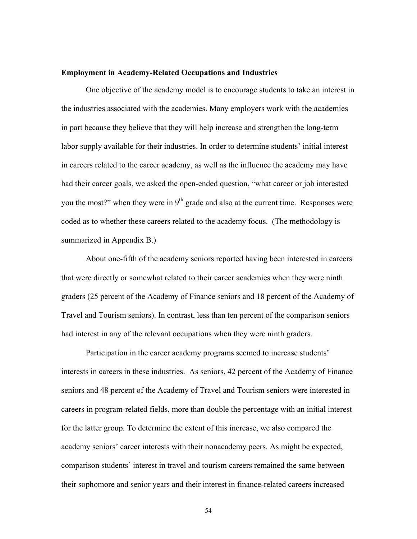#### **Employment in Academy-Related Occupations and Industries**

 One objective of the academy model is to encourage students to take an interest in the industries associated with the academies. Many employers work with the academies in part because they believe that they will help increase and strengthen the long-term labor supply available for their industries. In order to determine students' initial interest in careers related to the career academy, as well as the influence the academy may have had their career goals, we asked the open-ended question, "what career or job interested you the most?" when they were in  $9<sup>th</sup>$  grade and also at the current time. Responses were coded as to whether these careers related to the academy focus. (The methodology is summarized in Appendix B.)

 About one-fifth of the academy seniors reported having been interested in careers that were directly or somewhat related to their career academies when they were ninth graders (25 percent of the Academy of Finance seniors and 18 percent of the Academy of Travel and Tourism seniors). In contrast, less than ten percent of the comparison seniors had interest in any of the relevant occupations when they were ninth graders.

 Participation in the career academy programs seemed to increase students' interests in careers in these industries. As seniors, 42 percent of the Academy of Finance seniors and 48 percent of the Academy of Travel and Tourism seniors were interested in careers in program-related fields, more than double the percentage with an initial interest for the latter group. To determine the extent of this increase, we also compared the academy seniors' career interests with their nonacademy peers. As might be expected, comparison students' interest in travel and tourism careers remained the same between their sophomore and senior years and their interest in finance-related careers increased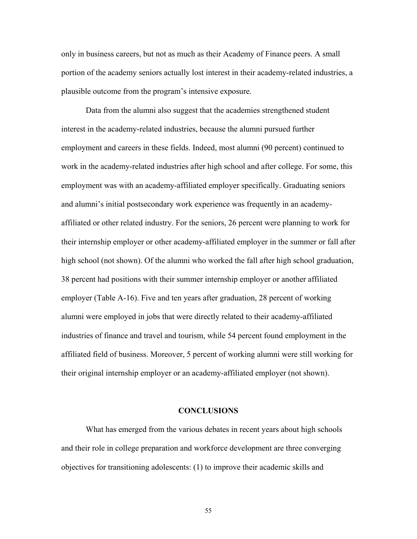only in business careers, but not as much as their Academy of Finance peers. A small portion of the academy seniors actually lost interest in their academy-related industries, a plausible outcome from the program's intensive exposure.

Data from the alumni also suggest that the academies strengthened student interest in the academy-related industries, because the alumni pursued further employment and careers in these fields. Indeed, most alumni (90 percent) continued to work in the academy-related industries after high school and after college. For some, this employment was with an academy-affiliated employer specifically. Graduating seniors and alumni's initial postsecondary work experience was frequently in an academyaffiliated or other related industry. For the seniors, 26 percent were planning to work for their internship employer or other academy-affiliated employer in the summer or fall after high school (not shown). Of the alumni who worked the fall after high school graduation, 38 percent had positions with their summer internship employer or another affiliated employer (Table A-16). Five and ten years after graduation, 28 percent of working alumni were employed in jobs that were directly related to their academy-affiliated industries of finance and travel and tourism, while 54 percent found employment in the affiliated field of business. Moreover, 5 percent of working alumni were still working for their original internship employer or an academy-affiliated employer (not shown).

### **CONCLUSIONS**

What has emerged from the various debates in recent years about high schools and their role in college preparation and workforce development are three converging objectives for transitioning adolescents: (1) to improve their academic skills and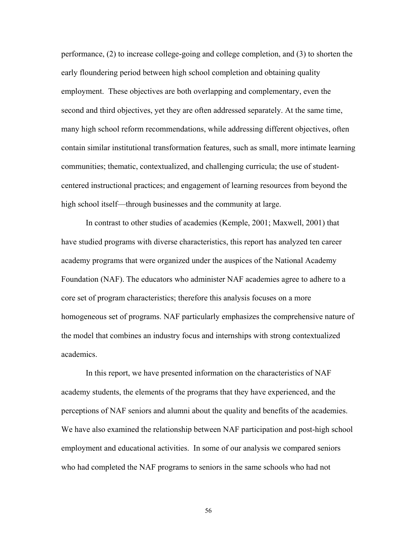performance, (2) to increase college-going and college completion, and (3) to shorten the early floundering period between high school completion and obtaining quality employment. These objectives are both overlapping and complementary, even the second and third objectives, yet they are often addressed separately. At the same time, many high school reform recommendations, while addressing different objectives, often contain similar institutional transformation features, such as small, more intimate learning communities; thematic, contextualized, and challenging curricula; the use of studentcentered instructional practices; and engagement of learning resources from beyond the high school itself—through businesses and the community at large.

In contrast to other studies of academies (Kemple, 2001; Maxwell, 2001) that have studied programs with diverse characteristics, this report has analyzed ten career academy programs that were organized under the auspices of the National Academy Foundation (NAF). The educators who administer NAF academies agree to adhere to a core set of program characteristics; therefore this analysis focuses on a more homogeneous set of programs. NAF particularly emphasizes the comprehensive nature of the model that combines an industry focus and internships with strong contextualized academics.

In this report, we have presented information on the characteristics of NAF academy students, the elements of the programs that they have experienced, and the perceptions of NAF seniors and alumni about the quality and benefits of the academies. We have also examined the relationship between NAF participation and post-high school employment and educational activities. In some of our analysis we compared seniors who had completed the NAF programs to seniors in the same schools who had not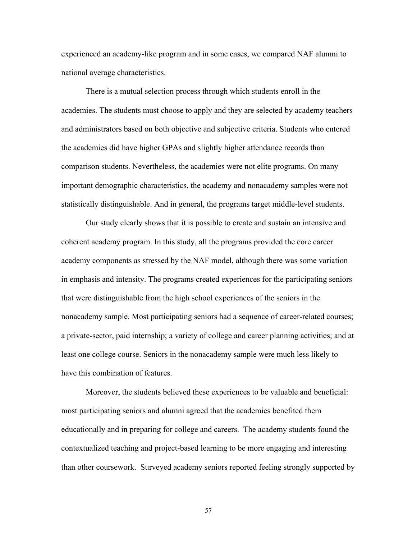experienced an academy-like program and in some cases, we compared NAF alumni to national average characteristics.

There is a mutual selection process through which students enroll in the academies. The students must choose to apply and they are selected by academy teachers and administrators based on both objective and subjective criteria. Students who entered the academies did have higher GPAs and slightly higher attendance records than comparison students. Nevertheless, the academies were not elite programs. On many important demographic characteristics, the academy and nonacademy samples were not statistically distinguishable. And in general, the programs target middle-level students.

 Our study clearly shows that it is possible to create and sustain an intensive and coherent academy program. In this study, all the programs provided the core career academy components as stressed by the NAF model, although there was some variation in emphasis and intensity. The programs created experiences for the participating seniors that were distinguishable from the high school experiences of the seniors in the nonacademy sample. Most participating seniors had a sequence of career-related courses; a private-sector, paid internship; a variety of college and career planning activities; and at least one college course. Seniors in the nonacademy sample were much less likely to have this combination of features.

Moreover, the students believed these experiences to be valuable and beneficial: most participating seniors and alumni agreed that the academies benefited them educationally and in preparing for college and careers. The academy students found the contextualized teaching and project-based learning to be more engaging and interesting than other coursework. Surveyed academy seniors reported feeling strongly supported by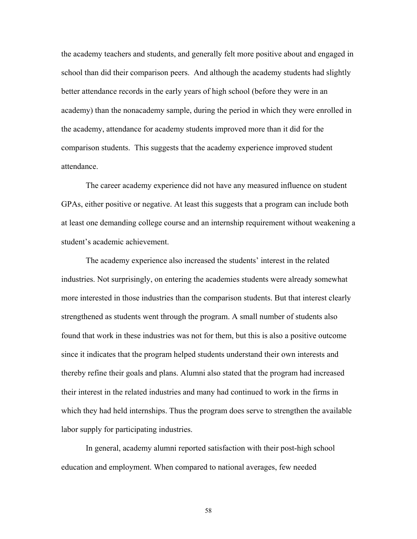the academy teachers and students, and generally felt more positive about and engaged in school than did their comparison peers. And although the academy students had slightly better attendance records in the early years of high school (before they were in an academy) than the nonacademy sample, during the period in which they were enrolled in the academy, attendance for academy students improved more than it did for the comparison students. This suggests that the academy experience improved student attendance.

The career academy experience did not have any measured influence on student GPAs, either positive or negative. At least this suggests that a program can include both at least one demanding college course and an internship requirement without weakening a student's academic achievement.

The academy experience also increased the students' interest in the related industries. Not surprisingly, on entering the academies students were already somewhat more interested in those industries than the comparison students. But that interest clearly strengthened as students went through the program. A small number of students also found that work in these industries was not for them, but this is also a positive outcome since it indicates that the program helped students understand their own interests and thereby refine their goals and plans. Alumni also stated that the program had increased their interest in the related industries and many had continued to work in the firms in which they had held internships. Thus the program does serve to strengthen the available labor supply for participating industries.

In general, academy alumni reported satisfaction with their post-high school education and employment. When compared to national averages, few needed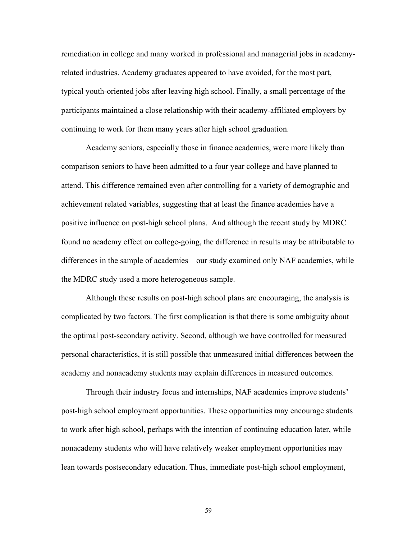remediation in college and many worked in professional and managerial jobs in academyrelated industries. Academy graduates appeared to have avoided, for the most part, typical youth-oriented jobs after leaving high school. Finally, a small percentage of the participants maintained a close relationship with their academy-affiliated employers by continuing to work for them many years after high school graduation.

 Academy seniors, especially those in finance academies, were more likely than comparison seniors to have been admitted to a four year college and have planned to attend. This difference remained even after controlling for a variety of demographic and achievement related variables, suggesting that at least the finance academies have a positive influence on post-high school plans. And although the recent study by MDRC found no academy effect on college-going, the difference in results may be attributable to differences in the sample of academies—our study examined only NAF academies, while the MDRC study used a more heterogeneous sample.

Although these results on post-high school plans are encouraging, the analysis is complicated by two factors. The first complication is that there is some ambiguity about the optimal post-secondary activity. Second, although we have controlled for measured personal characteristics, it is still possible that unmeasured initial differences between the academy and nonacademy students may explain differences in measured outcomes.

Through their industry focus and internships, NAF academies improve students' post-high school employment opportunities. These opportunities may encourage students to work after high school, perhaps with the intention of continuing education later, while nonacademy students who will have relatively weaker employment opportunities may lean towards postsecondary education. Thus, immediate post-high school employment,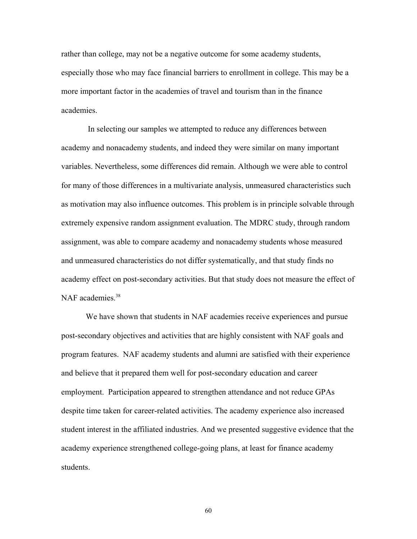rather than college, may not be a negative outcome for some academy students, especially those who may face financial barriers to enrollment in college. This may be a more important factor in the academies of travel and tourism than in the finance academies.

 In selecting our samples we attempted to reduce any differences between academy and nonacademy students, and indeed they were similar on many important variables. Nevertheless, some differences did remain. Although we were able to control for many of those differences in a multivariate analysis, unmeasured characteristics such as motivation may also influence outcomes. This problem is in principle solvable through extremely expensive random assignment evaluation. The MDRC study, through random assignment, was able to compare academy and nonacademy students whose measured and unmeasured characteristics do not differ systematically, and that study finds no academy effect on post-secondary activities. But that study does not measure the effect of NAF academies<sup>38</sup>

We have shown that students in NAF academies receive experiences and pursue post-secondary objectives and activities that are highly consistent with NAF goals and program features. NAF academy students and alumni are satisfied with their experience and believe that it prepared them well for post-secondary education and career employment. Participation appeared to strengthen attendance and not reduce GPAs despite time taken for career-related activities. The academy experience also increased student interest in the affiliated industries. And we presented suggestive evidence that the academy experience strengthened college-going plans, at least for finance academy students.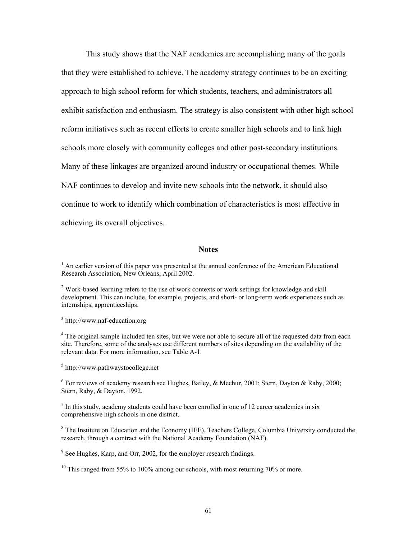This study shows that the NAF academies are accomplishing many of the goals that they were established to achieve. The academy strategy continues to be an exciting approach to high school reform for which students, teachers, and administrators all exhibit satisfaction and enthusiasm. The strategy is also consistent with other high school reform initiatives such as recent efforts to create smaller high schools and to link high schools more closely with community colleges and other post-secondary institutions. Many of these linkages are organized around industry or occupational themes. While NAF continues to develop and invite new schools into the network, it should also continue to work to identify which combination of characteristics is most effective in achieving its overall objectives.

#### **Notes**

 $<sup>1</sup>$  An earlier version of this paper was presented at the annual conference of the American Educational</sup> Research Association, New Orleans, April 2002.

 $2$  Work-based learning refers to the use of work contexts or work settings for knowledge and skill development. This can include, for example, projects, and short- or long-term work experiences such as internships, apprenticeships.

3 http://www.naf-education.org

<sup>4</sup> The original sample included ten sites, but we were not able to secure all of the requested data from each site. Therefore, some of the analyses use different numbers of sites depending on the availability of the relevant data. For more information, see Table A-1.

5 http://www.pathwaystocollege.net

<sup>6</sup> For reviews of academy research see Hughes, Bailey, & Mechur, 2001; Stern, Dayton & Raby, 2000; Stern, Raby, & Dayton, 1992.

 $<sup>7</sup>$  In this study, academy students could have been enrolled in one of 12 career academies in six</sup> comprehensive high schools in one district.

<sup>8</sup> The Institute on Education and the Economy (IEE), Teachers College, Columbia University conducted the research, through a contract with the National Academy Foundation (NAF).

<sup>9</sup> See Hughes, Karp, and Orr, 2002, for the employer research findings.

 $10$  This ranged from 55% to 100% among our schools, with most returning 70% or more.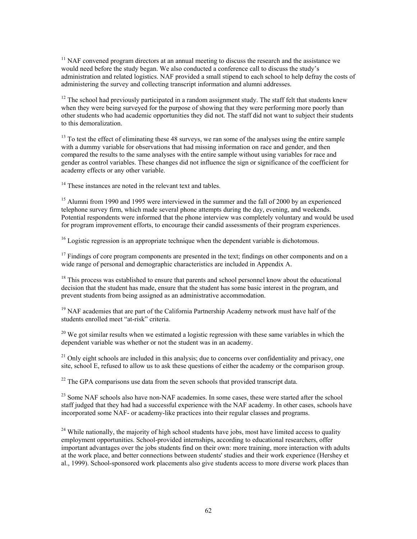$11$  NAF convened program directors at an annual meeting to discuss the research and the assistance we would need before the study began. We also conducted a conference call to discuss the study's administration and related logistics. NAF provided a small stipend to each school to help defray the costs of administering the survey and collecting transcript information and alumni addresses.

 $12$  The school had previously participated in a random assignment study. The staff felt that students knew when they were being surveyed for the purpose of showing that they were performing more poorly than other students who had academic opportunities they did not. The staff did not want to subject their students to this demoralization.

<sup>13</sup> To test the effect of eliminating these 48 surveys, we ran some of the analyses using the entire sample with a dummy variable for observations that had missing information on race and gender, and then compared the results to the same analyses with the entire sample without using variables for race and gender as control variables. These changes did not influence the sign or significance of the coefficient for academy effects or any other variable.

<sup>14</sup> These instances are noted in the relevant text and tables.

<sup>15</sup> Alumni from 1990 and 1995 were interviewed in the summer and the fall of 2000 by an experienced telephone survey firm, which made several phone attempts during the day, evening, and weekends. Potential respondents were informed that the phone interview was completely voluntary and would be used for program improvement efforts, to encourage their candid assessments of their program experiences.

 $16$  Logistic regression is an appropriate technique when the dependent variable is dichotomous.

<sup>17</sup> Findings of core program components are presented in the text; findings on other components and on a wide range of personal and demographic characteristics are included in Appendix A.

 $18$  This process was established to ensure that parents and school personnel know about the educational decision that the student has made, ensure that the student has some basic interest in the program, and prevent students from being assigned as an administrative accommodation.

 $19$  NAF academies that are part of the California Partnership Academy network must have half of the students enrolled meet "at-risk" criteria.

 $20$  We got similar results when we estimated a logistic regression with these same variables in which the dependent variable was whether or not the student was in an academy.

 $21$  Only eight schools are included in this analysis; due to concerns over confidentiality and privacy, one site, school E, refused to allow us to ask these questions of either the academy or the comparison group.

 $^{22}$  The GPA comparisons use data from the seven schools that provided transcript data.

<sup>23</sup> Some NAF schools also have non-NAF academies. In some cases, these were started after the school staff judged that they had had a successful experience with the NAF academy. In other cases, schools have incorporated some NAF- or academy-like practices into their regular classes and programs.

 $24$  While nationally, the majority of high school students have jobs, most have limited access to quality employment opportunities. School-provided internships, according to educational researchers, offer important advantages over the jobs students find on their own: more training, more interaction with adults at the work place, and better connections between students' studies and their work experience (Hershey et al., 1999). School-sponsored work placements also give students access to more diverse work places than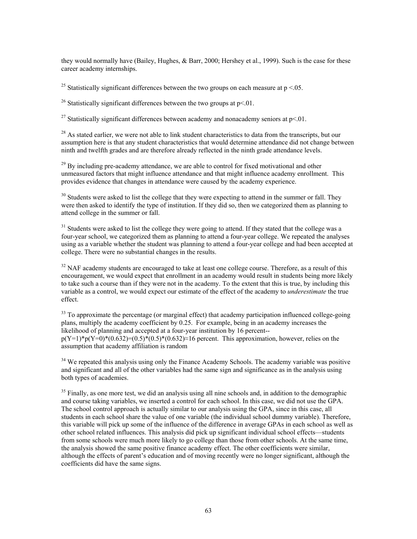they would normally have (Bailey, Hughes, & Barr, 2000; Hershey et al., 1999). Such is the case for these career academy internships.

<sup>25</sup> Statistically significant differences between the two groups on each measure at  $p < 0.05$ .

<sup>26</sup> Statistically significant differences between the two groups at  $p<.01$ .

<sup>27</sup> Statistically significant differences between academy and nonacademy seniors at  $p<.01$ .

 $^{28}$  As stated earlier, we were not able to link student characteristics to data from the transcripts, but our assumption here is that any student characteristics that would determine attendance did not change between ninth and twelfth grades and are therefore already reflected in the ninth grade attendance levels.

 $^{29}$  By including pre-academy attendance, we are able to control for fixed motivational and other unmeasured factors that might influence attendance and that might influence academy enrollment. This provides evidence that changes in attendance were caused by the academy experience.

<sup>30</sup> Students were asked to list the college that they were expecting to attend in the summer or fall. They were then asked to identify the type of institution. If they did so, then we categorized them as planning to attend college in the summer or fall.

<sup>31</sup> Students were asked to list the college they were going to attend. If they stated that the college was a four-year school, we categorized them as planning to attend a four-year college. We repeated the analyses using as a variable whether the student was planning to attend a four-year college and had been accepted at college. There were no substantial changes in the results.

 $32$  NAF academy students are encouraged to take at least one college course. Therefore, as a result of this encouragement, we would expect that enrollment in an academy would result in students being more likely to take such a course than if they were not in the academy. To the extent that this is true, by including this variable as a control, we would expect our estimate of the effect of the academy to *underestimate* the true effect.

<sup>33</sup> To approximate the percentage (or marginal effect) that academy participation influenced college-going plans, multiply the academy coefficient by 0.25. For example, being in an academy increases the likelihood of planning and accepted at a four-year institution by 16 percent-  $p(Y=1)*p(Y=0)*(0.632)=(0.5)*(0.632)\approx16$  percent. This approximation, however, relies on the assumption that academy affiliation is random

 $34$  We repeated this analysis using only the Finance Academy Schools. The academy variable was positive and significant and all of the other variables had the same sign and significance as in the analysis using both types of academies.

 $35$  Finally, as one more test, we did an analysis using all nine schools and, in addition to the demographic and course taking variables, we inserted a control for each school. In this case, we did not use the GPA. The school control approach is actually similar to our analysis using the GPA, since in this case, all students in each school share the value of one variable (the individual school dummy variable). Therefore, this variable will pick up some of the influence of the difference in average GPAs in each school as well as other school related influences. This analysis did pick up significant individual school effects—students from some schools were much more likely to go college than those from other schools. At the same time, the analysis showed the same positive finance academy effect. The other coefficients were similar, although the effects of parent's education and of moving recently were no longer significant, although the coefficients did have the same signs.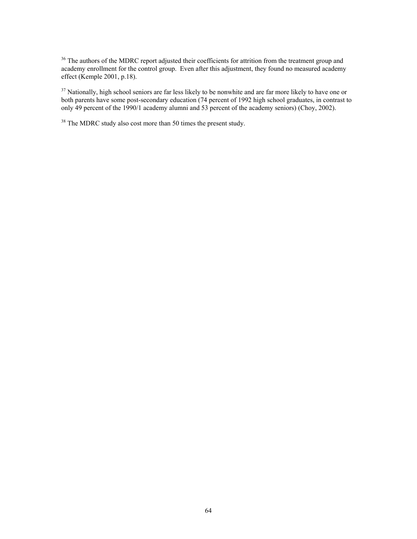<sup>36</sup> The authors of the MDRC report adjusted their coefficients for attrition from the treatment group and academy enrollment for the control group. Even after this adjustment, they found no measured academy effect (Kemple 2001, p.18).

<sup>37</sup> Nationally, high school seniors are far less likely to be nonwhite and are far more likely to have one or both parents have some post-secondary education (74 percent of 1992 high school graduates, in contrast to only 49 percent of the 1990/1 academy alumni and 53 percent of the academy seniors) (Choy, 2002).

<sup>38</sup> The MDRC study also cost more than 50 times the present study.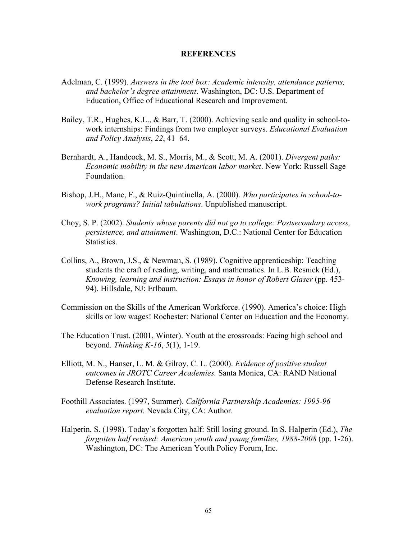### **REFERENCES**

- Adelman, C. (1999). *Answers in the tool box: Academic intensity, attendance patterns, and bachelor's degree attainment*. Washington, DC: U.S. Department of Education, Office of Educational Research and Improvement.
- Bailey, T.R., Hughes, K.L., & Barr, T. (2000). Achieving scale and quality in school-towork internships: Findings from two employer surveys. *Educational Evaluation and Policy Analysis*, *22*, 41–64.
- Bernhardt, A., Handcock, M. S., Morris, M., & Scott, M. A. (2001). *Divergent paths: Economic mobility in the new American labor market*. New York: Russell Sage Foundation.
- Bishop, J.H., Mane, F., & Ruiz-Quintinella, A. (2000). *Who participates in school-towork programs? Initial tabulations*. Unpublished manuscript.
- Choy, S. P. (2002). *Students whose parents did not go to college: Postsecondary access, persistence, and attainment*. Washington, D.C.: National Center for Education Statistics.
- Collins, A., Brown, J.S., & Newman, S. (1989). Cognitive apprenticeship: Teaching students the craft of reading, writing, and mathematics. In L.B. Resnick (Ed.), *Knowing, learning and instruction: Essays in honor of Robert Glaser* (pp. 453- 94). Hillsdale, NJ: Erlbaum.
- Commission on the Skills of the American Workforce. (1990). America's choice: High skills or low wages! Rochester: National Center on Education and the Economy.
- The Education Trust. (2001, Winter). Youth at the crossroads: Facing high school and beyond*. Thinking K-16*, *5*(1), 1-19.
- Elliott, M. N., Hanser, L. M. & Gilroy, C. L. (2000). *Evidence of positive student outcomes in JROTC Career Academies.* Santa Monica, CA: RAND National Defense Research Institute.
- Foothill Associates. (1997, Summer). *California Partnership Academies: 1995-96 evaluation report*. Nevada City, CA: Author.
- Halperin, S. (1998). Today's forgotten half: Still losing ground. In S. Halperin (Ed.), *The forgotten half revised: American youth and young families, 1988-2008* (pp. 1-26). Washington, DC: The American Youth Policy Forum, Inc.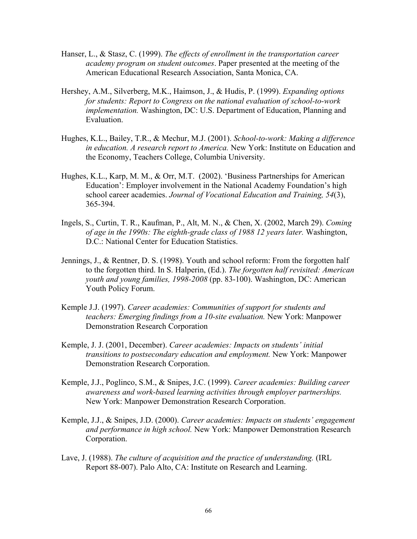- Hanser, L., & Stasz, C. (1999). *The effects of enrollment in the transportation career academy program on student outcomes*. Paper presented at the meeting of the American Educational Research Association, Santa Monica, CA.
- Hershey, A.M., Silverberg, M.K., Haimson, J., & Hudis, P. (1999). *Expanding options for students: Report to Congress on the national evaluation of school-to-work implementation.* Washington, DC: U.S. Department of Education, Planning and Evaluation.
- Hughes, K.L., Bailey, T.R., & Mechur, M.J. (2001). *School-to-work: Making a difference in education. A research report to America.* New York: Institute on Education and the Economy, Teachers College, Columbia University.
- Hughes, K.L., Karp, M. M., & Orr, M.T. (2002). 'Business Partnerships for American Education': Employer involvement in the National Academy Foundation's high school career academies. *Journal of Vocational Education and Training, 54*(3), 365-394.
- Ingels, S., Curtin, T. R., Kaufman, P., Alt, M. N., & Chen, X. (2002, March 29). *Coming of age in the 1990s: The eighth-grade class of 1988 12 years later.* Washington, D.C.: National Center for Education Statistics.
- Jennings, J., & Rentner, D. S. (1998). Youth and school reform: From the forgotten half to the forgotten third. In S. Halperin, (Ed.). *The forgotten half revisited: American youth and young families, 1998-2008* (pp. 83-100). Washington, DC: American Youth Policy Forum.
- Kemple J.J. (1997). *Career academies: Communities of support for students and teachers: Emerging findings from a 10-site evaluation.* New York: Manpower Demonstration Research Corporation
- Kemple, J. J. (2001, December). *Career academies: Impacts on students' initial transitions to postsecondary education and employment.* New York: Manpower Demonstration Research Corporation.
- Kemple, J.J., Poglinco, S.M., & Snipes, J.C. (1999). *Career academies: Building career awareness and work-based learning activities through employer partnerships.*  New York: Manpower Demonstration Research Corporation.
- Kemple, J.J., & Snipes, J.D. (2000). *Career academies: Impacts on students' engagement and performance in high school.* New York: Manpower Demonstration Research Corporation.
- Lave, J. (1988). *The culture of acquisition and the practice of understanding.* (IRL Report 88-007). Palo Alto, CA: Institute on Research and Learning.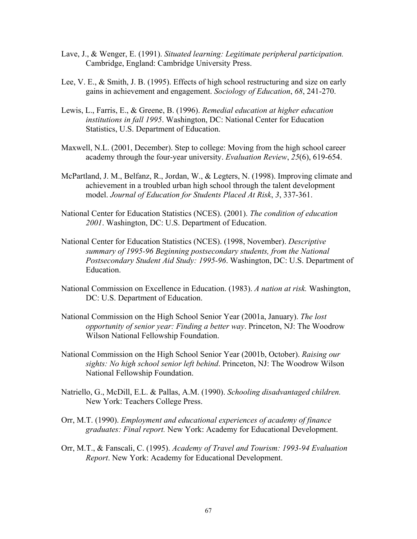- Lave, J., & Wenger, E. (1991). *Situated learning: Legitimate peripheral participation.* Cambridge, England: Cambridge University Press.
- Lee, V. E., & Smith, J. B. (1995). Effects of high school restructuring and size on early gains in achievement and engagement. *Sociology of Education*, *68*, 241-270.
- Lewis, L., Farris, E., & Greene, B. (1996). *Remedial education at higher education institutions in fall 1995*. Washington, DC: National Center for Education Statistics, U.S. Department of Education.
- Maxwell, N.L. (2001, December). Step to college: Moving from the high school career academy through the four-year university. *Evaluation Review*, *25*(6), 619-654.
- McPartland, J. M., Belfanz, R., Jordan, W., & Legters, N. (1998). Improving climate and achievement in a troubled urban high school through the talent development model. *Journal of Education for Students Placed At Risk*, *3*, 337-361.
- National Center for Education Statistics (NCES). (2001). *The condition of education 2001*. Washington, DC: U.S. Department of Education.
- National Center for Education Statistics (NCES). (1998, November). *Descriptive summary of 1995-96 Beginning postsecondary students, from the National Postsecondary Student Aid Study: 1995-96*. Washington, DC: U.S. Department of Education.
- National Commission on Excellence in Education. (1983). *A nation at risk.* Washington, DC: U.S. Department of Education.
- National Commission on the High School Senior Year (2001a, January). *The lost opportunity of senior year: Finding a better way*. Princeton, NJ: The Woodrow Wilson National Fellowship Foundation.
- National Commission on the High School Senior Year (2001b, October). *Raising our sights: No high school senior left behind*. Princeton, NJ: The Woodrow Wilson National Fellowship Foundation.
- Natriello, G., McDill, E.L. & Pallas, A.M. (1990). *Schooling disadvantaged children.* New York: Teachers College Press.
- Orr, M.T. (1990). *Employment and educational experiences of academy of finance graduates: Final report.* New York: Academy for Educational Development.
- Orr, M.T., & Fanscali, C. (1995). *Academy of Travel and Tourism: 1993-94 Evaluation Report*. New York: Academy for Educational Development.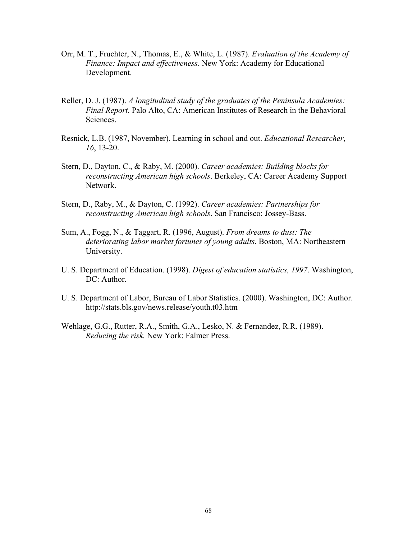- Orr, M. T., Fruchter, N., Thomas, E., & White, L. (1987). *Evaluation of the Academy of Finance: Impact and effectiveness.* New York: Academy for Educational Development.
- Reller, D. J. (1987). *A longitudinal study of the graduates of the Peninsula Academies: Final Report*. Palo Alto, CA: American Institutes of Research in the Behavioral Sciences.
- Resnick, L.B. (1987, November). Learning in school and out. *Educational Researcher*, *16*, 13-20.
- Stern, D., Dayton, C., & Raby, M. (2000). *Career academies: Building blocks for reconstructing American high schools*. Berkeley, CA: Career Academy Support Network.
- Stern, D., Raby, M., & Dayton, C. (1992). *Career academies: Partnerships for reconstructing American high schools*. San Francisco: Jossey-Bass.
- Sum, A., Fogg, N., & Taggart, R. (1996, August). *From dreams to dust: The deteriorating labor market fortunes of young adults*. Boston, MA: Northeastern University.
- U. S. Department of Education. (1998). *Digest of education statistics, 1997*. Washington, DC: Author.
- U. S. Department of Labor, Bureau of Labor Statistics. (2000). Washington, DC: Author. http://stats.bls.gov/news.release/youth.t03.htm
- Wehlage, G.G., Rutter, R.A., Smith, G.A., Lesko, N. & Fernandez, R.R. (1989). *Reducing the risk.* New York: Falmer Press.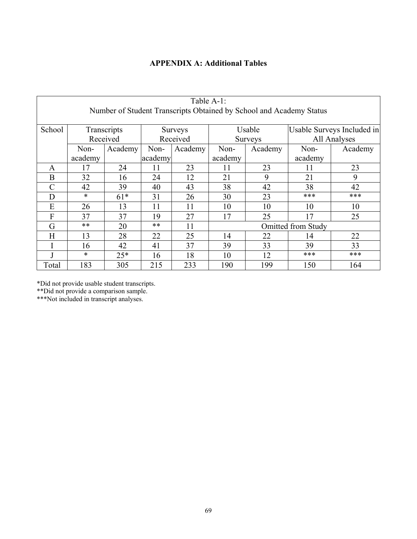# **APPENDIX A: Additional Tables**

| Table A-1:<br>Number of Student Transcripts Obtained by School and Academy Status |             |         |                |         |                           |     |                            |         |  |
|-----------------------------------------------------------------------------------|-------------|---------|----------------|---------|---------------------------|-----|----------------------------|---------|--|
|                                                                                   |             |         |                |         |                           |     |                            |         |  |
| School                                                                            | Transcripts |         | <b>Surveys</b> |         | Usable                    |     | Usable Surveys Included in |         |  |
|                                                                                   | Received    |         | Received       |         | <b>Surveys</b>            |     | All Analyses               |         |  |
|                                                                                   | Non-        | Academy | Non-           | Academy | Non-<br>Academy           |     | Non-                       | Academy |  |
|                                                                                   | academy     |         | academy        |         | academy                   |     | academy                    |         |  |
| A                                                                                 | 17          | 24      | 11             | 23      | 11                        | 23  | 11                         | 23      |  |
| B                                                                                 | 32          | 16      | 24             | 12      | 21                        | 9   | 21                         | 9       |  |
| $\mathcal{C}$                                                                     | 42          | 39      | 40             | 43      | 38                        | 42  | 38                         | 42      |  |
| D                                                                                 | $\ast$      | $61*$   | 31             | 26      | 30                        | 23  | ***                        | ***     |  |
| E                                                                                 | 26          | 13      | 11             | 11      | 10                        | 10  | 10                         | 10      |  |
| F                                                                                 | 37          | 37      | 19             | 27      | 17                        | 25  | 17                         | 25      |  |
| G                                                                                 | **          | 20      | $***$          | 11      | <b>Omitted from Study</b> |     |                            |         |  |
| H                                                                                 | 13          | 28      | 22             | 25      | 14                        | 22  | 14                         | 22      |  |
|                                                                                   | 16          | 42      | 41             | 37      | 39                        | 33  | 39                         | 33      |  |
|                                                                                   | $\ast$      | $25*$   | 16             | 18      | 10                        | 12  | ***                        | ***     |  |
| Total                                                                             | 183         | 305     | 215            | 233     | 190                       | 199 | 150                        | 164     |  |

\*Did not provide usable student transcripts.

\*\*Did not provide a comparison sample.

\*\*\*Not included in transcript analyses.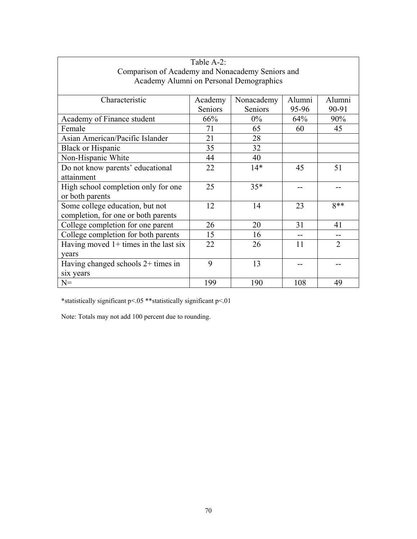| Table A-2:                                       |         |            |        |                |
|--------------------------------------------------|---------|------------|--------|----------------|
| Comparison of Academy and Nonacademy Seniors and |         |            |        |                |
| Academy Alumni on Personal Demographics          |         |            |        |                |
|                                                  |         |            |        |                |
| Characteristic                                   | Academy | Nonacademy | Alumni | Alumni         |
|                                                  | Seniors | Seniors    | 95-96  | 90-91          |
| Academy of Finance student                       | 66%     | $0\%$      | 64%    | 90%            |
| Female                                           | 71      | 65         | 60     | 45             |
| Asian American/Pacific Islander                  | 21      | 28         |        |                |
| <b>Black or Hispanic</b>                         | 35      | 32         |        |                |
| Non-Hispanic White                               | 44      | 40         |        |                |
| Do not know parents' educational                 | 22      | $14*$      | 45     | 51             |
| attainment                                       |         |            |        |                |
| High school completion only for one              | 25      | $35*$      |        |                |
| or both parents                                  |         |            |        |                |
| Some college education, but not                  | 12      | 14         | 23     | $8**$          |
| completion, for one or both parents              |         |            |        |                |
| College completion for one parent                | 26      | 20         | 31     | 41             |
| College completion for both parents              | 15      | 16         |        |                |
| Having moved $1+$ times in the last six          | 22      | 26         | 11     | $\overline{2}$ |
| vears                                            |         |            |        |                |
| Having changed schools 2+ times in               | 9       | 13         |        |                |
| six years                                        |         |            |        |                |
| $N =$                                            | 199     | 190        | 108    | 49             |

 $^{\ast}$ statistically significant p<.01  $^{\ast}$ statistically significant p<.01

Note: Totals may not add 100 percent due to rounding.

 $\Gamma$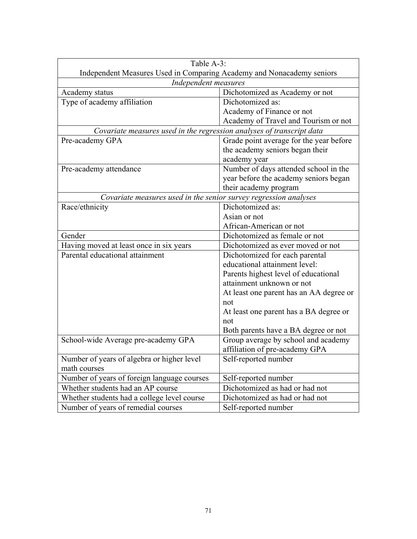| Table A-3:                                                            |                                         |  |
|-----------------------------------------------------------------------|-----------------------------------------|--|
| Independent Measures Used in Comparing Academy and Nonacademy seniors |                                         |  |
| Independent measures                                                  |                                         |  |
| Academy status                                                        | Dichotomized as Academy or not          |  |
| Type of academy affiliation                                           | Dichotomized as:                        |  |
|                                                                       | Academy of Finance or not               |  |
|                                                                       | Academy of Travel and Tourism or not    |  |
| Covariate measures used in the regression analyses of transcript data |                                         |  |
| Pre-academy GPA                                                       | Grade point average for the year before |  |
|                                                                       | the academy seniors began their         |  |
|                                                                       | academy year                            |  |
| Pre-academy attendance                                                | Number of days attended school in the   |  |
|                                                                       | year before the academy seniors began   |  |
|                                                                       | their academy program                   |  |
| Covariate measures used in the senior survey regression analyses      |                                         |  |
| Race/ethnicity                                                        | Dichotomized as:                        |  |
|                                                                       | Asian or not                            |  |
|                                                                       | African-American or not                 |  |
| Gender                                                                | Dichotomized as female or not           |  |
| Having moved at least once in six years                               | Dichotomized as ever moved or not       |  |
| Parental educational attainment                                       | Dichotomized for each parental          |  |
|                                                                       | educational attainment level:           |  |
|                                                                       | Parents highest level of educational    |  |
| attainment unknown or not                                             |                                         |  |
| At least one parent has an AA degree or                               |                                         |  |
|                                                                       | not                                     |  |
| At least one parent has a BA degree or                                |                                         |  |
|                                                                       | not                                     |  |
|                                                                       | Both parents have a BA degree or not    |  |
| School-wide Average pre-academy GPA                                   | Group average by school and academy     |  |
|                                                                       | affiliation of pre-academy GPA          |  |
| Number of years of algebra or higher level                            | Self-reported number                    |  |
| math courses                                                          |                                         |  |
| Number of years of foreign language courses                           | Self-reported number                    |  |
| Whether students had an AP course                                     | Dichotomized as had or had not          |  |
| Whether students had a college level course                           | Dichotomized as had or had not          |  |
| Number of years of remedial courses                                   | Self-reported number                    |  |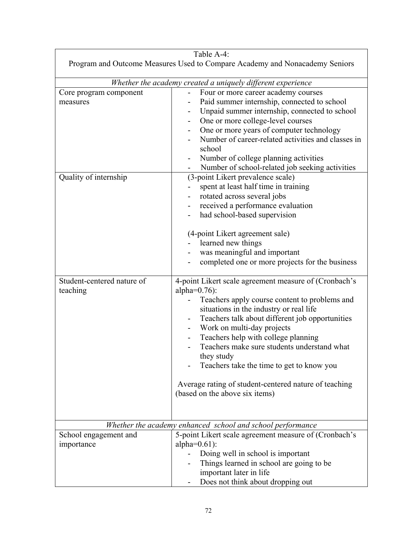|                                                                             | Table A-4:                                                                                                                                                                                                                                                                                                                                                                                                                                                                                                                        |  |
|-----------------------------------------------------------------------------|-----------------------------------------------------------------------------------------------------------------------------------------------------------------------------------------------------------------------------------------------------------------------------------------------------------------------------------------------------------------------------------------------------------------------------------------------------------------------------------------------------------------------------------|--|
| Program and Outcome Measures Used to Compare Academy and Nonacademy Seniors |                                                                                                                                                                                                                                                                                                                                                                                                                                                                                                                                   |  |
| Whether the academy created a uniquely different experience                 |                                                                                                                                                                                                                                                                                                                                                                                                                                                                                                                                   |  |
| Core program component<br>measures                                          | Four or more career academy courses<br>Paid summer internship, connected to school<br>Unpaid summer internship, connected to school<br>One or more college-level courses<br>One or more years of computer technology<br>Number of career-related activities and classes in<br>school<br>Number of college planning activities                                                                                                                                                                                                     |  |
| Quality of internship                                                       | Number of school-related job seeking activities<br>(3-point Likert prevalence scale)<br>spent at least half time in training<br>$\overline{\phantom{0}}$<br>rotated across several jobs<br>received a performance evaluation<br>had school-based supervision<br>(4-point Likert agreement sale)<br>learned new things<br>was meaningful and important<br>completed one or more projects for the business                                                                                                                          |  |
| Student-centered nature of<br>teaching                                      | 4-point Likert scale agreement measure of (Cronbach's<br>alpha= $0.76$ :<br>Teachers apply course content to problems and<br>situations in the industry or real life<br>Teachers talk about different job opportunities<br>$\qquad \qquad \blacksquare$<br>Work on multi-day projects<br>Teachers help with college planning<br>Teachers make sure students understand what<br>they study<br>Teachers take the time to get to know you<br>Average rating of student-centered nature of teaching<br>(based on the above six items) |  |
|                                                                             | Whether the academy enhanced school and school performance                                                                                                                                                                                                                                                                                                                                                                                                                                                                        |  |
| School engagement and<br>importance                                         | 5-point Likert scale agreement measure of (Cronbach's<br>alpha= $0.61$ :<br>Doing well in school is important<br>Things learned in school are going to be<br>important later in life<br>Does not think about dropping out                                                                                                                                                                                                                                                                                                         |  |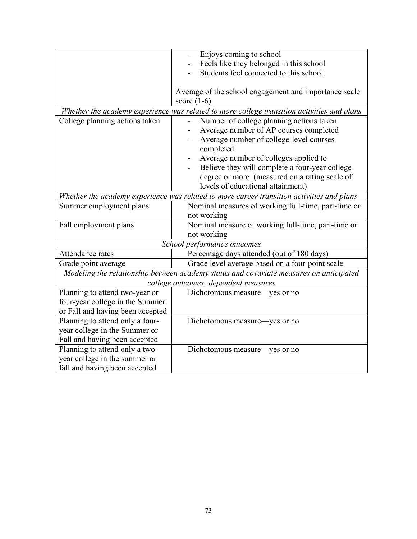|                                      | Enjoys coming to school                                                                    |  |  |
|--------------------------------------|--------------------------------------------------------------------------------------------|--|--|
|                                      | Feels like they belonged in this school                                                    |  |  |
|                                      | Students feel connected to this school                                                     |  |  |
|                                      |                                                                                            |  |  |
|                                      | Average of the school engagement and importance scale                                      |  |  |
|                                      | score $(1-6)$                                                                              |  |  |
|                                      | Whether the academy experience was related to more college transition activities and plans |  |  |
| College planning actions taken       | Number of college planning actions taken                                                   |  |  |
|                                      | Average number of AP courses completed                                                     |  |  |
|                                      | Average number of college-level courses                                                    |  |  |
|                                      | completed                                                                                  |  |  |
|                                      | Average number of colleges applied to                                                      |  |  |
|                                      | Believe they will complete a four-year college                                             |  |  |
|                                      | degree or more (measured on a rating scale of                                              |  |  |
|                                      | levels of educational attainment)                                                          |  |  |
|                                      | Whether the academy experience was related to more career transition activities and plans  |  |  |
| Summer employment plans              | Nominal measures of working full-time, part-time or                                        |  |  |
|                                      | not working                                                                                |  |  |
| Fall employment plans                | Nominal measure of working full-time, part-time or                                         |  |  |
|                                      | not working                                                                                |  |  |
|                                      | School performance outcomes                                                                |  |  |
| Attendance rates                     | Percentage days attended (out of 180 days)                                                 |  |  |
| Grade point average                  | Grade level average based on a four-point scale                                            |  |  |
|                                      | Modeling the relationship between academy status and covariate measures on anticipated     |  |  |
| college outcomes: dependent measures |                                                                                            |  |  |
| Planning to attend two-year or       | Dichotomous measure—yes or no                                                              |  |  |
| four-year college in the Summer      |                                                                                            |  |  |
| or Fall and having been accepted     |                                                                                            |  |  |
| Planning to attend only a four-      | Dichotomous measure—yes or no                                                              |  |  |
| year college in the Summer or        |                                                                                            |  |  |
| Fall and having been accepted        |                                                                                            |  |  |
| Planning to attend only a two-       | Dichotomous measure—yes or no                                                              |  |  |
| year college in the summer or        |                                                                                            |  |  |
| fall and having been accepted        |                                                                                            |  |  |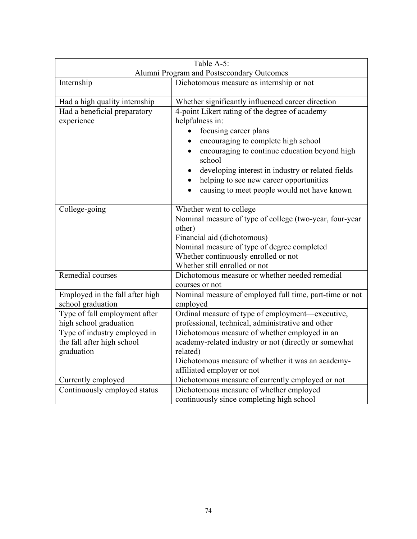| Table A-5:                                                               |                                                                                                                                                                                                                                                                                                                                                                                                              |  |
|--------------------------------------------------------------------------|--------------------------------------------------------------------------------------------------------------------------------------------------------------------------------------------------------------------------------------------------------------------------------------------------------------------------------------------------------------------------------------------------------------|--|
| Alumni Program and Postsecondary Outcomes                                |                                                                                                                                                                                                                                                                                                                                                                                                              |  |
| Internship                                                               | Dichotomous measure as internship or not                                                                                                                                                                                                                                                                                                                                                                     |  |
| Had a high quality internship                                            | Whether significantly influenced career direction                                                                                                                                                                                                                                                                                                                                                            |  |
| Had a beneficial preparatory<br>experience                               | 4-point Likert rating of the degree of academy<br>helpfulness in:<br>focusing career plans<br>encouraging to complete high school<br>$\bullet$<br>encouraging to continue education beyond high<br>$\bullet$<br>school<br>developing interest in industry or related fields<br>$\bullet$<br>helping to see new career opportunities<br>$\bullet$<br>causing to meet people would not have known<br>$\bullet$ |  |
| College-going                                                            | Whether went to college<br>Nominal measure of type of college (two-year, four-year<br>other)<br>Financial aid (dichotomous)<br>Nominal measure of type of degree completed<br>Whether continuously enrolled or not<br>Whether still enrolled or not                                                                                                                                                          |  |
| Remedial courses                                                         | Dichotomous measure or whether needed remedial<br>courses or not                                                                                                                                                                                                                                                                                                                                             |  |
| Employed in the fall after high<br>school graduation                     | Nominal measure of employed full time, part-time or not<br>employed                                                                                                                                                                                                                                                                                                                                          |  |
| Type of fall employment after<br>high school graduation                  | Ordinal measure of type of employment—executive,<br>professional, technical, administrative and other                                                                                                                                                                                                                                                                                                        |  |
| Type of industry employed in<br>the fall after high school<br>graduation | Dichotomous measure of whether employed in an<br>academy-related industry or not (directly or somewhat<br>related)<br>Dichotomous measure of whether it was an academy-<br>affiliated employer or not                                                                                                                                                                                                        |  |
| Currently employed                                                       | Dichotomous measure of currently employed or not                                                                                                                                                                                                                                                                                                                                                             |  |
| Continuously employed status                                             | Dichotomous measure of whether employed<br>continuously since completing high school                                                                                                                                                                                                                                                                                                                         |  |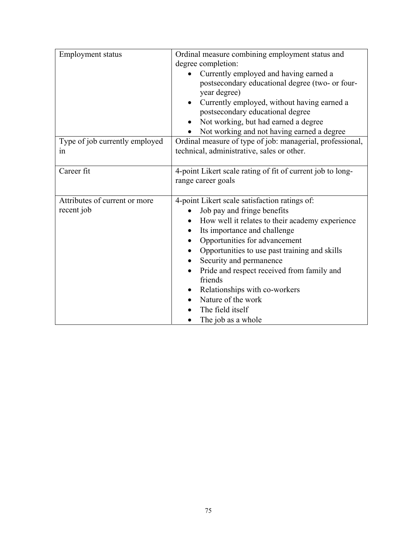| Employment status              | Ordinal measure combining employment status and<br>degree completion:<br>Currently employed and having earned a<br>postsecondary educational degree (two- or four-<br>year degree)<br>Currently employed, without having earned a<br>postsecondary educational degree<br>Not working, but had earned a degree<br>Not working and not having earned a degree |
|--------------------------------|-------------------------------------------------------------------------------------------------------------------------------------------------------------------------------------------------------------------------------------------------------------------------------------------------------------------------------------------------------------|
| Type of job currently employed | Ordinal measure of type of job: managerial, professional,                                                                                                                                                                                                                                                                                                   |
| 1n                             | technical, administrative, sales or other.                                                                                                                                                                                                                                                                                                                  |
| Career fit                     | 4-point Likert scale rating of fit of current job to long-<br>range career goals                                                                                                                                                                                                                                                                            |
|                                |                                                                                                                                                                                                                                                                                                                                                             |
| Attributes of current or more  | 4-point Likert scale satisfaction ratings of:                                                                                                                                                                                                                                                                                                               |
| recent job                     | Job pay and fringe benefits                                                                                                                                                                                                                                                                                                                                 |
|                                | How well it relates to their academy experience                                                                                                                                                                                                                                                                                                             |
|                                | Its importance and challenge<br>$\bullet$                                                                                                                                                                                                                                                                                                                   |
|                                | Opportunities for advancement                                                                                                                                                                                                                                                                                                                               |
|                                | Opportunities to use past training and skills<br>$\bullet$                                                                                                                                                                                                                                                                                                  |
|                                | Security and permanence<br>$\bullet$                                                                                                                                                                                                                                                                                                                        |
|                                | Pride and respect received from family and<br>friends                                                                                                                                                                                                                                                                                                       |
|                                | Relationships with co-workers<br>$\bullet$                                                                                                                                                                                                                                                                                                                  |
|                                | Nature of the work                                                                                                                                                                                                                                                                                                                                          |
|                                | The field itself                                                                                                                                                                                                                                                                                                                                            |
|                                | The job as a whole<br>$\bullet$                                                                                                                                                                                                                                                                                                                             |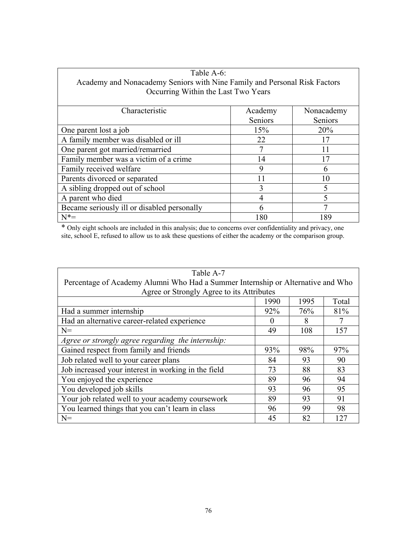| Table A-6:                                                                |         |            |  |
|---------------------------------------------------------------------------|---------|------------|--|
| Academy and Nonacademy Seniors with Nine Family and Personal Risk Factors |         |            |  |
| Occurring Within the Last Two Years                                       |         |            |  |
|                                                                           |         |            |  |
| Characteristic                                                            | Academy | Nonacademy |  |
|                                                                           | Seniors | Seniors    |  |
| One parent lost a job                                                     | 15%     | 20%        |  |
| A family member was disabled or ill                                       | 22      | 17         |  |
| One parent got married/remarried                                          |         |            |  |
| Family member was a victim of a crime                                     | 14      | 17         |  |
| Family received welfare                                                   | 9       | 6          |  |
| Parents divorced or separated                                             | 11      | 10         |  |
| A sibling dropped out of school                                           | 3       | 5          |  |
| A parent who died                                                         | 4       | 5          |  |
| Became seriously ill or disabled personally                               | 6       |            |  |
| $N^* =$                                                                   | 180     | 189        |  |

 $\overline{1}$ 

\* Only eight schools are included in this analysis; due to concerns over confidentiality and privacy, one site, school E, refused to allow us to ask these questions of either the academy or the comparison group.

| Table A-7                                                                       |      |      |       |
|---------------------------------------------------------------------------------|------|------|-------|
| Percentage of Academy Alumni Who Had a Summer Internship or Alternative and Who |      |      |       |
| Agree or Strongly Agree to its Attributes                                       |      |      |       |
|                                                                                 | 1990 | 1995 | Total |
| Had a summer internship                                                         | 92%  | 76%  | 81%   |
| Had an alternative career-related experience                                    |      | 8    |       |
| $N=$                                                                            | 49   | 108  | 157   |
| Agree or strongly agree regarding the internship:                               |      |      |       |
| Gained respect from family and friends                                          | 93%  | 98%  | 97%   |
| Job related well to your career plans                                           | 84   | 93   | 90    |
| Job increased your interest in working in the field                             | 73   | 88   | 83    |
| You enjoyed the experience                                                      | 89   | 96   | 94    |
| You developed job skills                                                        | 93   | 96   | 95    |
| Your job related well to your academy coursework                                | 89   | 93   | 91    |
| You learned things that you can't learn in class                                | 96   | 99   | 98    |
| $N =$                                                                           | 45   | 82   | 12.7  |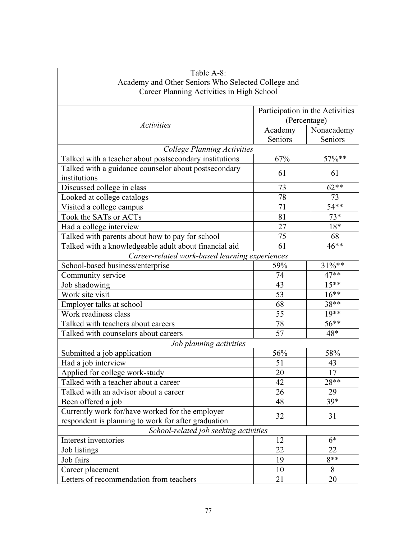| Table A-8:                                             |                    |                                 |  |
|--------------------------------------------------------|--------------------|---------------------------------|--|
| Academy and Other Seniors Who Selected College and     |                    |                                 |  |
| Career Planning Activities in High School              |                    |                                 |  |
|                                                        |                    |                                 |  |
|                                                        |                    | Participation in the Activities |  |
| <b>Activities</b>                                      |                    | (Percentage)                    |  |
|                                                        | Academy<br>Seniors | Nonacademy<br>Seniors           |  |
| <b>College Planning Activities</b>                     |                    |                                 |  |
| Talked with a teacher about postsecondary institutions | 67%                | $57\%**$                        |  |
| Talked with a guidance counselor about postsecondary   |                    |                                 |  |
| institutions                                           | 61                 | 61                              |  |
| Discussed college in class                             | 73                 | $62**$                          |  |
| Looked at college catalogs                             | 78                 | 73                              |  |
| Visited a college campus                               | 71                 | $54**$                          |  |
| Took the SATs or ACTs                                  | 81                 | $73*$                           |  |
| Had a college interview                                | 27                 | 18*                             |  |
| Talked with parents about how to pay for school        | 75                 | 68                              |  |
| Talked with a knowledgeable adult about financial aid  | 61                 | $46**$                          |  |
| Career-related work-based learning experiences         |                    |                                 |  |
| School-based business/enterprise                       | 59%                | 31%**                           |  |
| Community service                                      | 74                 | 47**                            |  |
| Job shadowing                                          | 43                 | $15***$                         |  |
| Work site visit                                        | 53                 | $16***$                         |  |
| Employer talks at school                               | 68                 | 38**                            |  |
| Work readiness class                                   | 55                 | $19**$                          |  |
| Talked with teachers about careers                     | 78                 | 56**                            |  |
| Talked with counselors about careers                   | 57                 | 48*                             |  |
| Job planning activities                                |                    |                                 |  |
| Submitted a job application                            | 56%                | 58%                             |  |
| Had a job interview                                    | 51                 | 43                              |  |
| Applied for college work-study                         | $20\,$             | 17                              |  |
| Talked with a teacher about a career                   | 42                 | 28**                            |  |
| Talked with an advisor about a career                  | 26                 | 29                              |  |
| Been offered a job                                     | 48                 | 39*                             |  |
| Currently work for/have worked for the employer        | 32                 |                                 |  |
| respondent is planning to work for after graduation    |                    | 31                              |  |
| School-related job seeking activities                  |                    |                                 |  |
| Interest inventories                                   | 12                 | $6*$                            |  |
| Job listings                                           | 22                 | 22                              |  |
| Job fairs                                              | 19                 | $8**$                           |  |
| Career placement                                       | 10                 | 8                               |  |
| Letters of recommendation from teachers                | 21                 | 20                              |  |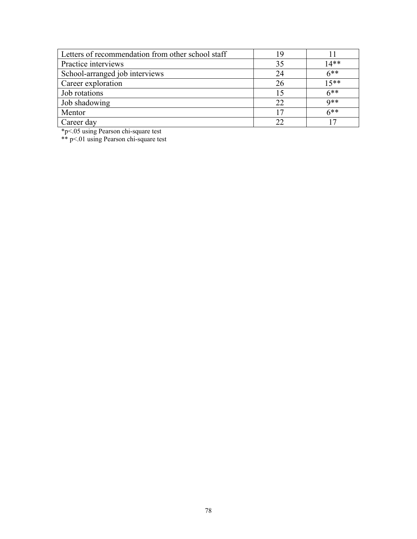| Letters of recommendation from other school staff | 19 |        |
|---------------------------------------------------|----|--------|
| Practice interviews                               | 35 | $14**$ |
| School-arranged job interviews                    | 24 | $6***$ |
| Career exploration                                | 26 | $15**$ |
| Job rotations                                     | 15 | $6***$ |
| Job shadowing                                     | 22 | $Q$ ** |
| Mentor                                            |    | $6**$  |
| Career day                                        | つつ |        |

\*p<.05 using Pearson chi-square test

\*\* p<.01 using Pearson chi-square test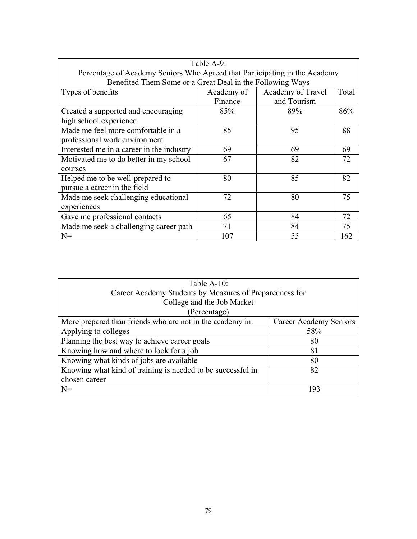| Table A-9:                                                                 |            |                   |       |
|----------------------------------------------------------------------------|------------|-------------------|-------|
| Percentage of Academy Seniors Who Agreed that Participating in the Academy |            |                   |       |
| Benefited Them Some or a Great Deal in the Following Ways                  |            |                   |       |
| Types of benefits                                                          | Academy of | Academy of Travel | Total |
|                                                                            | Finance    | and Tourism       |       |
| Created a supported and encouraging                                        | 85%        | 89%               | 86%   |
| high school experience                                                     |            |                   |       |
| Made me feel more comfortable in a                                         | 85         | 95                | 88    |
| professional work environment                                              |            |                   |       |
| Interested me in a career in the industry                                  | 69         | 69                | 69    |
| Motivated me to do better in my school                                     | 67         | 82                | 72    |
| courses                                                                    |            |                   |       |
| Helped me to be well-prepared to                                           | 80         | 85                | 82    |
| pursue a career in the field                                               |            |                   |       |
| Made me seek challenging educational                                       | 72         | 80                | 75    |
| experiences                                                                |            |                   |       |
| Gave me professional contacts                                              | 65         | 84                | 72    |
| Made me seek a challenging career path                                     | 71         | 84                | 75    |
| $N =$                                                                      | 107        | 55                | 162   |

| Table A-10:                                                 |                        |  |
|-------------------------------------------------------------|------------------------|--|
| Career Academy Students by Measures of Preparedness for     |                        |  |
| College and the Job Market                                  |                        |  |
| (Percentage)                                                |                        |  |
| More prepared than friends who are not in the academy in:   | Career Academy Seniors |  |
| Applying to colleges                                        | 58%                    |  |
| Planning the best way to achieve career goals               | 80                     |  |
| Knowing how and where to look for a job                     | 81                     |  |
| Knowing what kinds of jobs are available                    | 80                     |  |
| Knowing what kind of training is needed to be successful in | 82                     |  |
| chosen career                                               |                        |  |
| $N =$                                                       | 193                    |  |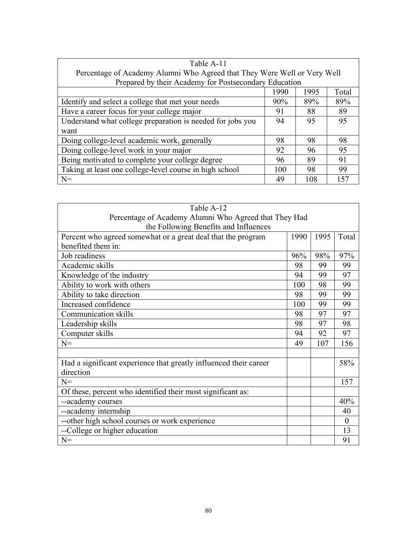| Table A-11                                                 |                                                                          |      |       |  |  |
|------------------------------------------------------------|--------------------------------------------------------------------------|------|-------|--|--|
|                                                            | Percentage of Academy Alumni Who Agreed that They Were Well or Very Well |      |       |  |  |
| Prepared by their Academy for Postsecondary Education      |                                                                          |      |       |  |  |
|                                                            | 1990                                                                     | 1995 | Total |  |  |
| Identify and select a college that met your needs          | 90%                                                                      | 89%  | 89%   |  |  |
| Have a career focus for your college major                 | 91                                                                       | 88   | 89    |  |  |
| Understand what college preparation is needed for jobs you | 94                                                                       | 95   | 95    |  |  |
| want                                                       |                                                                          |      |       |  |  |
| Doing college-level academic work, generally               | 98                                                                       | 98   | 98    |  |  |
| Doing college-level work in your major                     | 92                                                                       | 96   | 95    |  |  |
| Being motivated to complete your college degree            | 96                                                                       | 89   | 91    |  |  |
| Taking at least one college-level course in high school    | 100                                                                      | 98   | 99    |  |  |
| $N=$                                                       | 49                                                                       | 108  | 157   |  |  |

| Table A-12                                                        |      |      |          |  |
|-------------------------------------------------------------------|------|------|----------|--|
| Percentage of Academy Alumni Who Agreed that They Had             |      |      |          |  |
| the Following Benefits and Influences                             |      |      |          |  |
| Percent who agreed somewhat or a great deal that the program      | 1990 | 1995 | Total    |  |
| benefited them in:                                                |      |      |          |  |
| Job readiness                                                     | 96%  | 98%  | 97%      |  |
| Academic skills                                                   | 98   | 99   | 99       |  |
| Knowledge of the industry                                         | 94   | 99   | 97       |  |
| Ability to work with others                                       | 100  | 98   | 99       |  |
| Ability to take direction                                         | 98   | 99   | 99       |  |
| Increased confidence                                              | 100  | 99   | 99       |  |
| <b>Communication skills</b>                                       | 98   | 97   | 97       |  |
| Leadership skills                                                 | 98   | 97   | 98       |  |
| Computer skills                                                   | 94   | 92   | 97       |  |
| $N =$                                                             | 49   | 107  | 156      |  |
|                                                                   |      |      |          |  |
| Had a significant experience that greatly influenced their career |      |      | 58%      |  |
| direction                                                         |      |      |          |  |
| $N =$                                                             |      |      | 157      |  |
| Of these, percent who identified their most significant as:       |      |      |          |  |
| --academy courses                                                 |      |      | 40%      |  |
| --academy internship                                              |      |      | 40       |  |
| -- other high school courses or work experience                   |      |      | $\Omega$ |  |
| --College or higher education                                     |      |      | 13       |  |
| $N =$                                                             |      |      | 91       |  |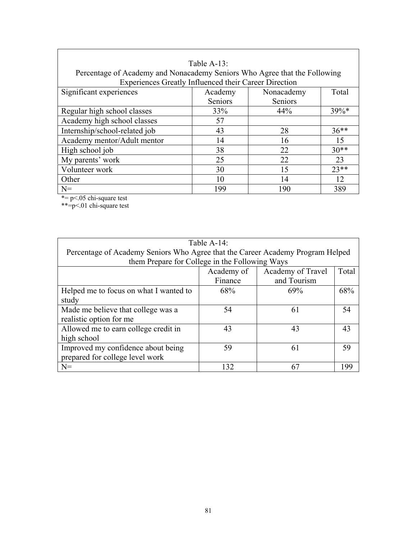|                                                                           | Table $A-13$ : |            |         |
|---------------------------------------------------------------------------|----------------|------------|---------|
| Percentage of Academy and Nonacademy Seniors Who Agree that the Following |                |            |         |
| Experiences Greatly Influenced their Career Direction                     |                |            |         |
| Significant experiences                                                   | Academy        | Nonacademy | Total   |
|                                                                           | Seniors        | Seniors    |         |
| Regular high school classes                                               | 33%            | 44%        | $39\%*$ |
| Academy high school classes                                               | 57             |            |         |
| Internship/school-related job                                             | 43             | 28         | $36**$  |
| Academy mentor/Adult mentor                                               | 14             | 16         | 15      |
| High school job                                                           | 38             | 22         | $30**$  |
| My parents' work                                                          | 25             | 22         | 23      |
| Volunteer work                                                            | 30             | 15         | $23**$  |
| Other                                                                     | 10             | 14         | 12      |
| $N =$                                                                     | 199            | 190        | 389     |

\*= p<.05 chi-square test

\*\*=p<.01 chi-square test

| Table A-14:                                                                    |            |                   |       |  |  |
|--------------------------------------------------------------------------------|------------|-------------------|-------|--|--|
| Percentage of Academy Seniors Who Agree that the Career Academy Program Helped |            |                   |       |  |  |
| them Prepare for College in the Following Ways                                 |            |                   |       |  |  |
|                                                                                | Academy of | Academy of Travel | Total |  |  |
|                                                                                | Finance    | and Tourism       |       |  |  |
| Helped me to focus on what I wanted to                                         | 68%        | 69%               | 68%   |  |  |
| study                                                                          |            |                   |       |  |  |
| Made me believe that college was a                                             | 54         | 61                | 54    |  |  |
| realistic option for me                                                        |            |                   |       |  |  |
| Allowed me to earn college credit in                                           | 43         | 43                | 43    |  |  |
| high school                                                                    |            |                   |       |  |  |
| Improved my confidence about being                                             | 59         | 61                | 59    |  |  |
| prepared for college level work                                                |            |                   |       |  |  |
| $N =$                                                                          | 132        | 67                | 199   |  |  |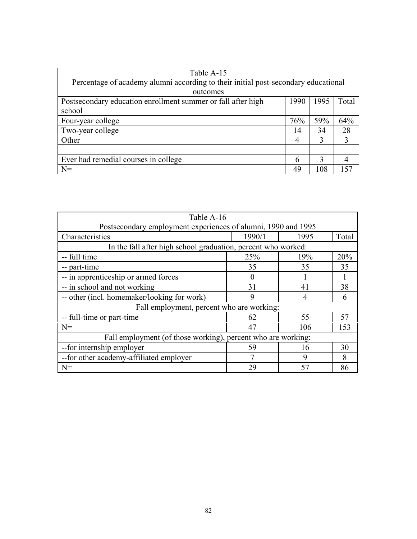| Table A-15                                                                         |      |      |       |
|------------------------------------------------------------------------------------|------|------|-------|
| Percentage of academy alumni according to their initial post-secondary educational |      |      |       |
| outcomes                                                                           |      |      |       |
| Postsecondary education enrollment summer or fall after high                       | 1990 | 1995 | Total |
| school                                                                             |      |      |       |
| Four-year college                                                                  | 76%  | 59%  | 64%   |
| Two-year college                                                                   | 14   | 34   | 28    |
| Other                                                                              | 4    | 3    | 3     |
|                                                                                    |      |      |       |
| Ever had remedial courses in college                                               | 6    | 3    | 4     |
| $N=$                                                                               | 49   | 108  | 157   |

| Table A-16                                                    |          |      |       |  |  |
|---------------------------------------------------------------|----------|------|-------|--|--|
| Postsecondary employment experiences of alumni, 1990 and 1995 |          |      |       |  |  |
| Characteristics                                               | 1990/1   | 1995 | Total |  |  |
| In the fall after high school graduation, percent who worked: |          |      |       |  |  |
| -- full time                                                  | 25%      | 19%  | 20%   |  |  |
| -- part-time                                                  | 35       | 35   | 35    |  |  |
| -- in apprenticeship or armed forces                          | $\Omega$ |      |       |  |  |
| -- in school and not working                                  | 31       | 41   | 38    |  |  |
| -- other (incl. homemaker/looking for work)                   | 9        | 4    | 6     |  |  |
| Fall employment, percent who are working:                     |          |      |       |  |  |
| -- full-time or part-time                                     | 62       | 55   | 57    |  |  |
| $N =$                                                         | 47       | 106  | 153   |  |  |
| Fall employment (of those working), percent who are working:  |          |      |       |  |  |
| -- for internship employer                                    | 59       | 16   | 30    |  |  |
| -- for other academy-affiliated employer<br>8<br>9            |          |      |       |  |  |
| $N =$                                                         | 29       | 57   | 86    |  |  |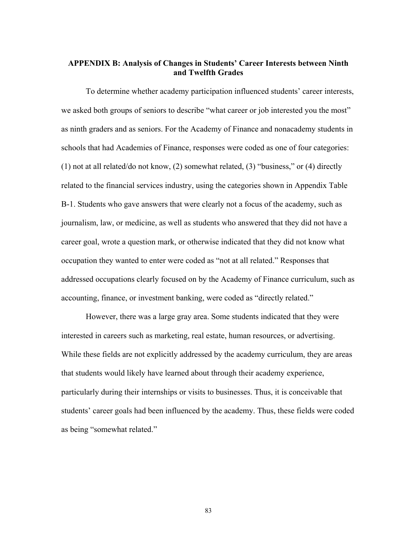## **APPENDIX B: Analysis of Changes in Students' Career Interests between Ninth and Twelfth Grades**

To determine whether academy participation influenced students' career interests, we asked both groups of seniors to describe "what career or job interested you the most" as ninth graders and as seniors. For the Academy of Finance and nonacademy students in schools that had Academies of Finance, responses were coded as one of four categories: (1) not at all related/do not know, (2) somewhat related, (3) "business," or (4) directly related to the financial services industry, using the categories shown in Appendix Table B-1. Students who gave answers that were clearly not a focus of the academy, such as journalism, law, or medicine, as well as students who answered that they did not have a career goal, wrote a question mark, or otherwise indicated that they did not know what occupation they wanted to enter were coded as "not at all related." Responses that addressed occupations clearly focused on by the Academy of Finance curriculum, such as accounting, finance, or investment banking, were coded as "directly related."

 However, there was a large gray area. Some students indicated that they were interested in careers such as marketing, real estate, human resources, or advertising. While these fields are not explicitly addressed by the academy curriculum, they are areas that students would likely have learned about through their academy experience, particularly during their internships or visits to businesses. Thus, it is conceivable that students' career goals had been influenced by the academy. Thus, these fields were coded as being "somewhat related."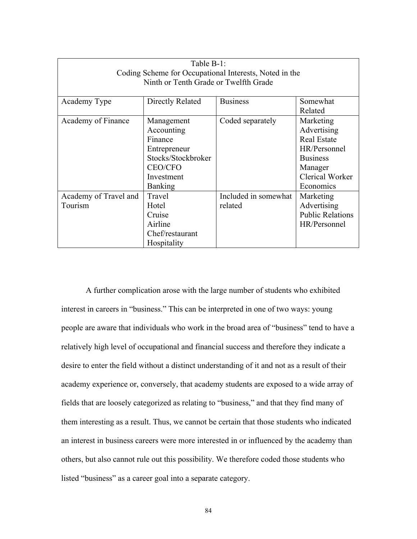| Table B-1:                                             |                                       |                      |                         |  |  |
|--------------------------------------------------------|---------------------------------------|----------------------|-------------------------|--|--|
| Coding Scheme for Occupational Interests, Noted in the |                                       |                      |                         |  |  |
|                                                        | Ninth or Tenth Grade or Twelfth Grade |                      |                         |  |  |
|                                                        |                                       |                      |                         |  |  |
| Academy Type                                           | Directly Related                      | <b>Business</b>      | Somewhat                |  |  |
|                                                        |                                       |                      | Related                 |  |  |
| Academy of Finance                                     | Management                            | Coded separately     | Marketing               |  |  |
|                                                        | Accounting                            |                      | Advertising             |  |  |
|                                                        | Finance                               |                      | <b>Real Estate</b>      |  |  |
| HR/Personnel<br>Entrepreneur                           |                                       |                      |                         |  |  |
| Stocks/Stockbroker<br><b>Business</b>                  |                                       |                      |                         |  |  |
|                                                        | <b>CEO/CFO</b>                        |                      | Manager                 |  |  |
|                                                        | Investment                            |                      | <b>Clerical Worker</b>  |  |  |
|                                                        | <b>Banking</b>                        |                      | Economics               |  |  |
| Academy of Travel and                                  | Travel                                | Included in somewhat | Marketing               |  |  |
| Tourism                                                | Hotel                                 | related              | Advertising             |  |  |
|                                                        | Cruise                                |                      | <b>Public Relations</b> |  |  |
|                                                        | Airline                               |                      | HR/Personnel            |  |  |
|                                                        | Chef/restaurant                       |                      |                         |  |  |
|                                                        | Hospitality                           |                      |                         |  |  |

 A further complication arose with the large number of students who exhibited interest in careers in "business." This can be interpreted in one of two ways: young people are aware that individuals who work in the broad area of "business" tend to have a relatively high level of occupational and financial success and therefore they indicate a desire to enter the field without a distinct understanding of it and not as a result of their academy experience or, conversely, that academy students are exposed to a wide array of fields that are loosely categorized as relating to "business," and that they find many of them interesting as a result. Thus, we cannot be certain that those students who indicated an interest in business careers were more interested in or influenced by the academy than others, but also cannot rule out this possibility. We therefore coded those students who listed "business" as a career goal into a separate category.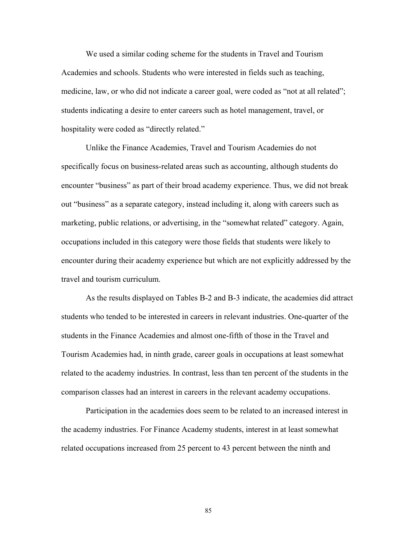We used a similar coding scheme for the students in Travel and Tourism Academies and schools. Students who were interested in fields such as teaching, medicine, law, or who did not indicate a career goal, were coded as "not at all related"; students indicating a desire to enter careers such as hotel management, travel, or hospitality were coded as "directly related."

Unlike the Finance Academies, Travel and Tourism Academies do not specifically focus on business-related areas such as accounting, although students do encounter "business" as part of their broad academy experience. Thus, we did not break out "business" as a separate category, instead including it, along with careers such as marketing, public relations, or advertising, in the "somewhat related" category. Again, occupations included in this category were those fields that students were likely to encounter during their academy experience but which are not explicitly addressed by the travel and tourism curriculum.

 As the results displayed on Tables B-2 and B-3 indicate, the academies did attract students who tended to be interested in careers in relevant industries. One-quarter of the students in the Finance Academies and almost one-fifth of those in the Travel and Tourism Academies had, in ninth grade, career goals in occupations at least somewhat related to the academy industries. In contrast, less than ten percent of the students in the comparison classes had an interest in careers in the relevant academy occupations.

Participation in the academies does seem to be related to an increased interest in the academy industries. For Finance Academy students, interest in at least somewhat related occupations increased from 25 percent to 43 percent between the ninth and

85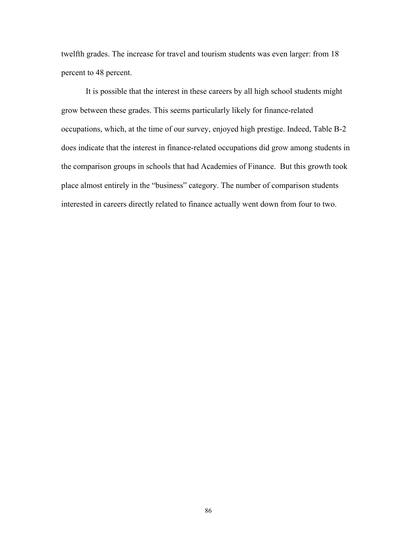twelfth grades. The increase for travel and tourism students was even larger: from 18 percent to 48 percent.

It is possible that the interest in these careers by all high school students might grow between these grades. This seems particularly likely for finance-related occupations, which, at the time of our survey, enjoyed high prestige. Indeed, Table B-2 does indicate that the interest in finance-related occupations did grow among students in the comparison groups in schools that had Academies of Finance. But this growth took place almost entirely in the "business" category. The number of comparison students interested in careers directly related to finance actually went down from four to two.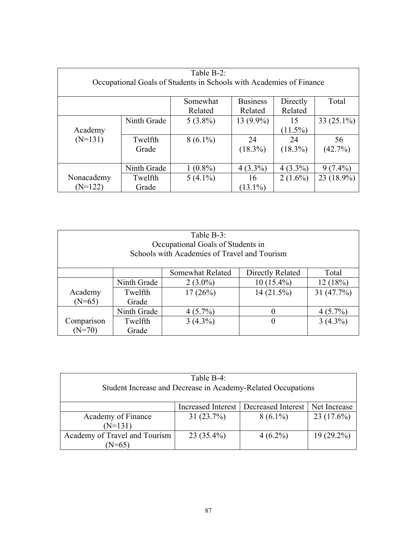| Table B-2: |                                                                     |            |                 |            |               |
|------------|---------------------------------------------------------------------|------------|-----------------|------------|---------------|
|            | Occupational Goals of Students in Schools with Academies of Finance |            |                 |            |               |
|            |                                                                     |            |                 |            |               |
|            |                                                                     | Somewhat   | <b>Business</b> | Directly   | Total         |
|            |                                                                     | Related    | Related         | Related    |               |
|            | Ninth Grade                                                         | $5(3.8\%)$ | $13(9.9\%)$     | 15         | 33 $(25.1\%)$ |
| Academy    |                                                                     |            |                 | $(11.5\%)$ |               |
| $(N=131)$  | Twelfth                                                             | $8(6.1\%)$ | 24              | 24         | 56            |
|            | Grade                                                               |            | $(18.3\%)$      | $(18.3\%)$ | (42.7%)       |
|            |                                                                     |            |                 |            |               |
|            | Ninth Grade                                                         | $1(0.8\%)$ | $4(3.3\%)$      | $4(3.3\%)$ | $9(7.4\%)$    |
| Nonacademy | Twelfth                                                             | $5(4.1\%)$ | 16              | $2(1.6\%)$ | 23 (18.9%)    |
| $(N=122)$  | Grade                                                               |            | $(13.1\%)$      |            |               |

| Table B-3:<br>Occupational Goals of Students in<br>Schools with Academies of Travel and Tourism |             |            |                   |              |
|-------------------------------------------------------------------------------------------------|-------------|------------|-------------------|--------------|
| Directly Related<br>Somewhat Related<br>Total                                                   |             |            |                   |              |
|                                                                                                 | Ninth Grade | $2(3.0\%)$ | $10(15.4\%)$      | 12 (18%)     |
| Academy                                                                                         | Twelfth     | $17(26\%)$ | 14(21.5%)         | 31 $(47.7%)$ |
| $(N=65)$                                                                                        | Grade       |            |                   |              |
|                                                                                                 | Ninth Grade | $4(5.7\%)$ | $\mathbf{\Omega}$ | $4(5.7\%)$   |
| Comparison                                                                                      | Twelfth     | $3(4.3\%)$ | $\theta$          | $3(4.3\%)$   |
| $(N=70)$                                                                                        | Grade       |            |                   |              |

| Table B-4:                                                   |                           |                    |              |  |
|--------------------------------------------------------------|---------------------------|--------------------|--------------|--|
| Student Increase and Decrease in Academy-Related Occupations |                           |                    |              |  |
|                                                              |                           |                    |              |  |
|                                                              | <b>Increased Interest</b> | Decreased Interest | Net Increase |  |
| Academy of Finance                                           | 31(23.7%)                 | $8(6.1\%)$         | 23(17.6%)    |  |
| $(N=131)$                                                    |                           |                    |              |  |
| Academy of Travel and Tourism                                | $23(35.4\%)$              | $4(6.2\%)$         | $19(29.2\%)$ |  |
| $N=65$                                                       |                           |                    |              |  |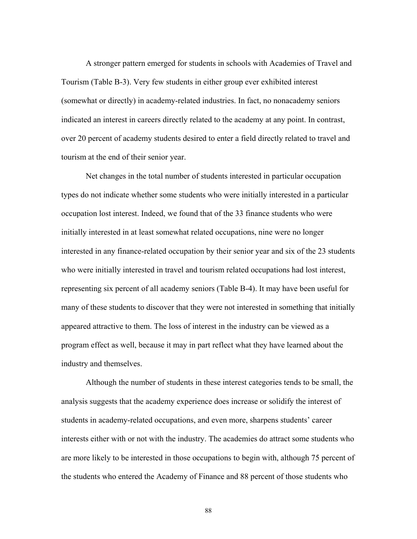A stronger pattern emerged for students in schools with Academies of Travel and Tourism (Table B-3). Very few students in either group ever exhibited interest (somewhat or directly) in academy-related industries. In fact, no nonacademy seniors indicated an interest in careers directly related to the academy at any point. In contrast, over 20 percent of academy students desired to enter a field directly related to travel and tourism at the end of their senior year.

Net changes in the total number of students interested in particular occupation types do not indicate whether some students who were initially interested in a particular occupation lost interest. Indeed, we found that of the 33 finance students who were initially interested in at least somewhat related occupations, nine were no longer interested in any finance-related occupation by their senior year and six of the 23 students who were initially interested in travel and tourism related occupations had lost interest, representing six percent of all academy seniors (Table B-4). It may have been useful for many of these students to discover that they were not interested in something that initially appeared attractive to them. The loss of interest in the industry can be viewed as a program effect as well, because it may in part reflect what they have learned about the industry and themselves.

 Although the number of students in these interest categories tends to be small, the analysis suggests that the academy experience does increase or solidify the interest of students in academy-related occupations, and even more, sharpens students' career interests either with or not with the industry. The academies do attract some students who are more likely to be interested in those occupations to begin with, although 75 percent of the students who entered the Academy of Finance and 88 percent of those students who

88